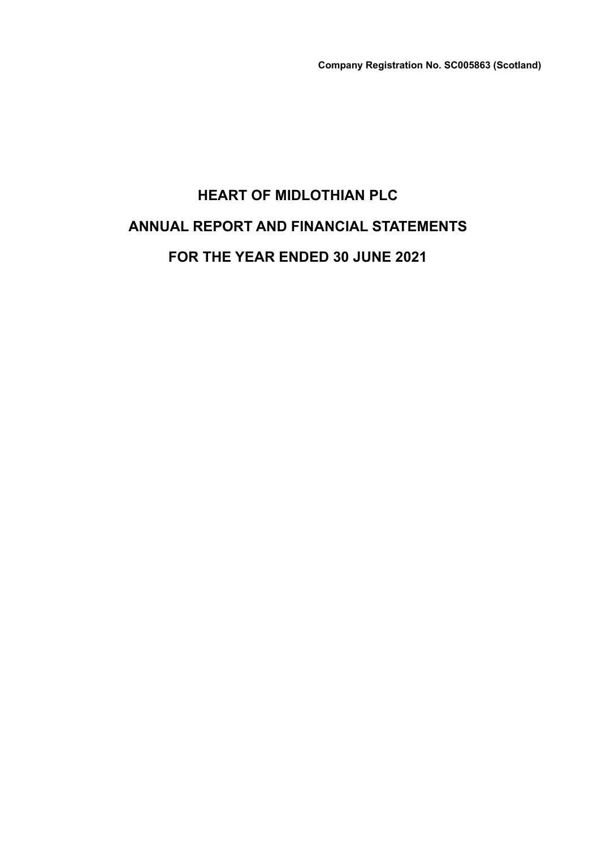# **HEART OF MIDLOTHIAN PLC ANNUAL REPORT AND FINANCIAL STATEMENTS FOR THE YEAR ENDED 30 JUNE 2021**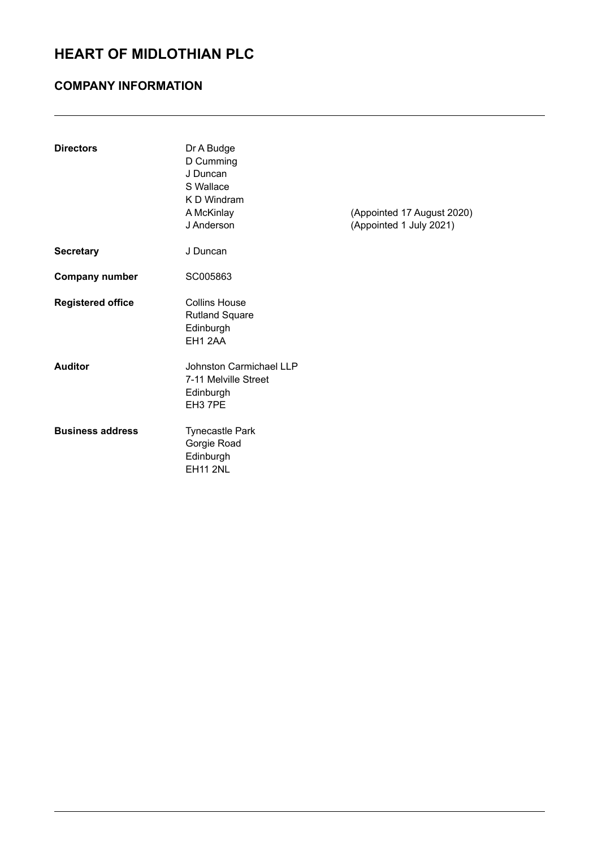## **COMPANY INFORMATION**

| <b>Directors</b>         | Dr A Budge<br>D Cumming<br>J Duncan<br>S Wallace<br>K D Windram<br>A McKinlay<br>J Anderson | (Appointed 17 August 2020)<br>(Appointed 1 July 2021) |
|--------------------------|---------------------------------------------------------------------------------------------|-------------------------------------------------------|
| <b>Secretary</b>         | J Duncan                                                                                    |                                                       |
| <b>Company number</b>    | SC005863                                                                                    |                                                       |
| <b>Registered office</b> | <b>Collins House</b><br><b>Rutland Square</b><br>Edinburgh<br>EH1 2AA                       |                                                       |
| <b>Auditor</b>           | <b>Johnston Carmichael LLP</b><br>7-11 Melville Street<br>Edinburgh<br>EH <sub>3</sub> 7PE  |                                                       |
| <b>Business address</b>  | <b>Tynecastle Park</b><br>Gorgie Road<br>Edinburgh<br><b>EH11 2NL</b>                       |                                                       |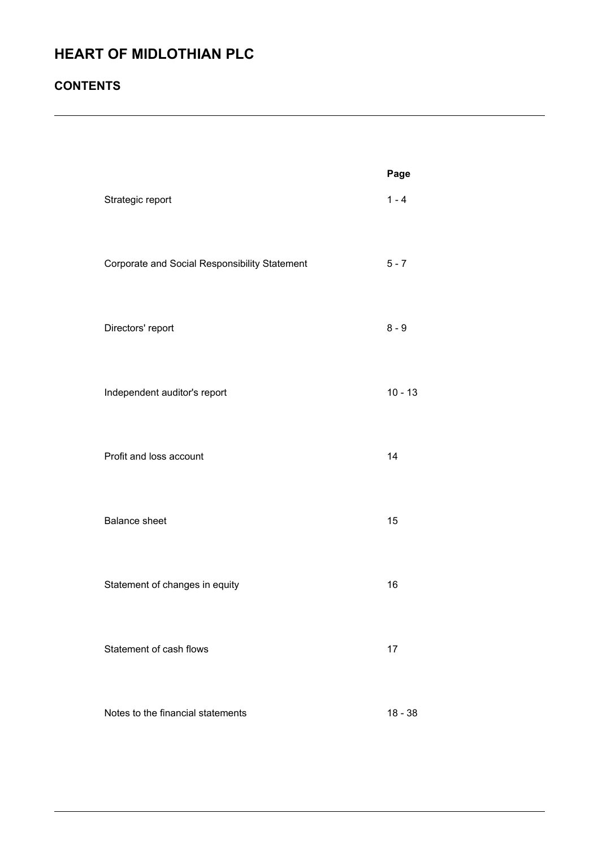# **CONTENTS**

|                                               | Page      |
|-----------------------------------------------|-----------|
| Strategic report                              | $1 - 4$   |
| Corporate and Social Responsibility Statement | $5 - 7$   |
| Directors' report                             | $8 - 9$   |
| Independent auditor's report                  | $10 - 13$ |
| Profit and loss account                       | 14        |
| <b>Balance sheet</b>                          | 15        |
| Statement of changes in equity                | 16        |
| Statement of cash flows                       | 17        |
| Notes to the financial statements             | $18 - 38$ |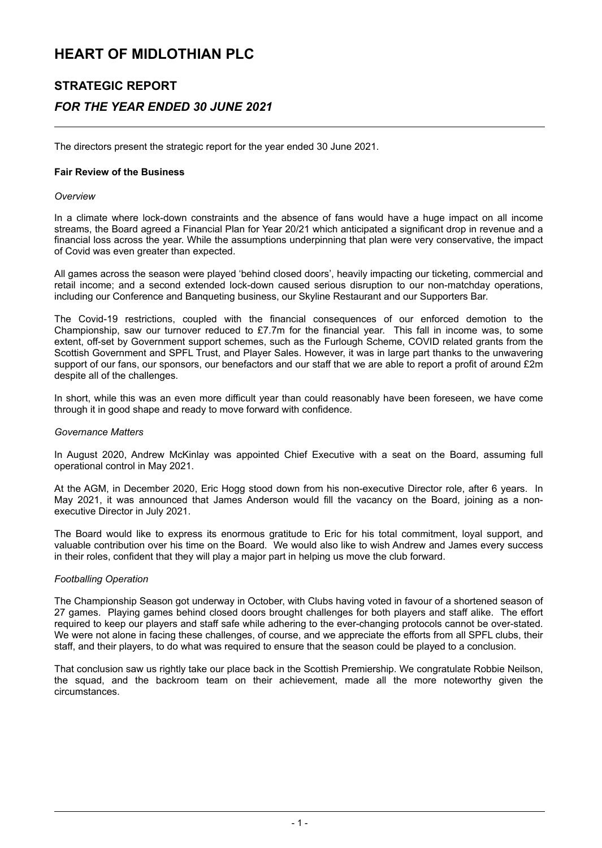# **STRATEGIC REPORT** *FOR THE YEAR ENDED 30 JUNE 2021*

The directors present the strategic report for the year ended 30 June 2021.

#### **Fair Review of the Business**

#### *Overview*

In a climate where lock-down constraints and the absence of fans would have a huge impact on all income streams, the Board agreed a Financial Plan for Year 20/21 which anticipated a significant drop in revenue and a financial loss across the year. While the assumptions underpinning that plan were very conservative, the impact of Covid was even greater than expected.

All games across the season were played 'behind closed doors', heavily impacting our ticketing, commercial and retail income; and a second extended lock-down caused serious disruption to our non-matchday operations, including our Conference and Banqueting business, our Skyline Restaurant and our Supporters Bar.

The Covid-19 restrictions, coupled with the financial consequences of our enforced demotion to the Championship, saw our turnover reduced to £7.7m for the financial year. This fall in income was, to some extent, off-set by Government support schemes, such as the Furlough Scheme, COVID related grants from the Scottish Government and SPFL Trust, and Player Sales. However, it was in large part thanks to the unwavering support of our fans, our sponsors, our benefactors and our staff that we are able to report a profit of around £2m despite all of the challenges.

In short, while this was an even more difficult year than could reasonably have been foreseen, we have come through it in good shape and ready to move forward with confidence.

#### *Governance Matters*

In August 2020, Andrew McKinlay was appointed Chief Executive with a seat on the Board, assuming full operational control in May 2021.

At the AGM, in December 2020, Eric Hogg stood down from his non-executive Director role, after 6 years. In May 2021, it was announced that James Anderson would fill the vacancy on the Board, joining as a nonexecutive Director in July 2021.

The Board would like to express its enormous gratitude to Eric for his total commitment, loyal support, and valuable contribution over his time on the Board. We would also like to wish Andrew and James every success in their roles, confident that they will play a major part in helping us move the club forward.

#### *Footballing Operation*

The Championship Season got underway in October, with Clubs having voted in favour of a shortened season of 27 games. Playing games behind closed doors brought challenges for both players and staff alike. The effort required to keep our players and staff safe while adhering to the ever-changing protocols cannot be over-stated. We were not alone in facing these challenges, of course, and we appreciate the efforts from all SPFL clubs, their staff, and their players, to do what was required to ensure that the season could be played to a conclusion.

That conclusion saw us rightly take our place back in the Scottish Premiership. We congratulate Robbie Neilson, the squad, and the backroom team on their achievement, made all the more noteworthy given the circumstances.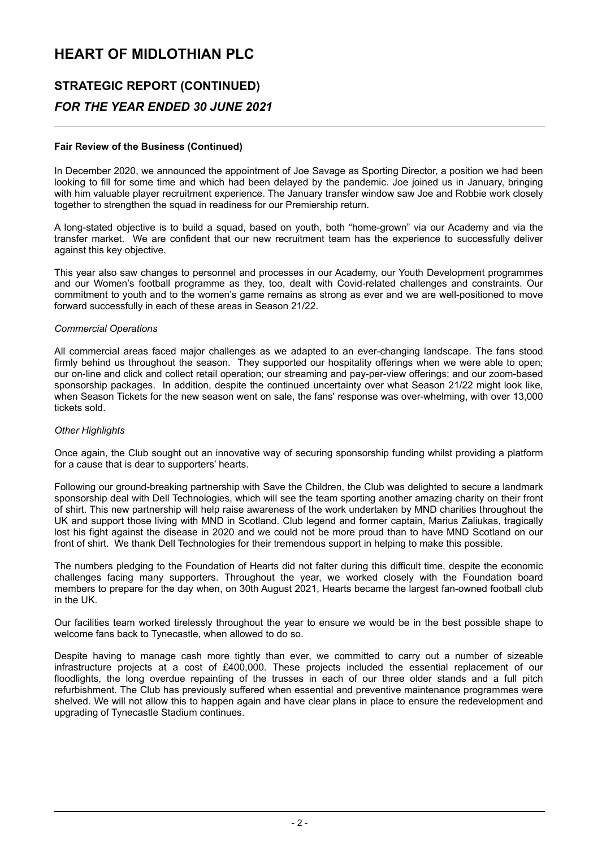# **STRATEGIC REPORT (CONTINUED)** *FOR THE YEAR ENDED 30 JUNE 2021*

#### **Fair Review of the Business (Continued)**

In December 2020, we announced the appointment of Joe Savage as Sporting Director, a position we had been looking to fill for some time and which had been delayed by the pandemic. Joe joined us in January, bringing with him valuable player recruitment experience. The January transfer window saw Joe and Robbie work closely together to strengthen the squad in readiness for our Premiership return.

A long-stated objective is to build a squad, based on youth, both "home-grown" via our Academy and via the transfer market. We are confident that our new recruitment team has the experience to successfully deliver against this key objective.

This year also saw changes to personnel and processes in our Academy, our Youth Development programmes and our Women's football programme as they, too, dealt with Covid-related challenges and constraints. Our commitment to youth and to the women's game remains as strong as ever and we are well-positioned to move forward successfully in each of these areas in Season 21/22.

#### *Commercial Operations*

All commercial areas faced major challenges as we adapted to an ever-changing landscape. The fans stood firmly behind us throughout the season. They supported our hospitality offerings when we were able to open; our on-line and click and collect retail operation; our streaming and pay-per-view offerings; and our zoom-based sponsorship packages. In addition, despite the continued uncertainty over what Season 21/22 might look like, when Season Tickets for the new season went on sale, the fans' response was over-whelming, with over 13,000 tickets sold.

#### *Other Highlights*

Once again, the Club sought out an innovative way of securing sponsorship funding whilst providing a platform for a cause that is dear to supporters' hearts.

Following our ground-breaking partnership with Save the Children, the Club was delighted to secure a landmark sponsorship deal with Dell Technologies, which will see the team sporting another amazing charity on their front of shirt. This new partnership will help raise awareness of the work undertaken by MND charities throughout the UK and support those living with MND in Scotland. Club legend and former captain, Marius Zaliukas, tragically lost his fight against the disease in 2020 and we could not be more proud than to have MND Scotland on our front of shirt. We thank Dell Technologies for their tremendous support in helping to make this possible.

The numbers pledging to the Foundation of Hearts did not falter during this difficult time, despite the economic challenges facing many supporters. Throughout the year, we worked closely with the Foundation board members to prepare for the day when, on 30th August 2021, Hearts became the largest fan-owned football club in the UK.

Our facilities team worked tirelessly throughout the year to ensure we would be in the best possible shape to welcome fans back to Tynecastle, when allowed to do so.

Despite having to manage cash more tightly than ever, we committed to carry out a number of sizeable infrastructure projects at a cost of £400,000. These projects included the essential replacement of our floodlights, the long overdue repainting of the trusses in each of our three older stands and a full pitch refurbishment. The Club has previously suffered when essential and preventive maintenance programmes were shelved. We will not allow this to happen again and have clear plans in place to ensure the redevelopment and upgrading of Tynecastle Stadium continues.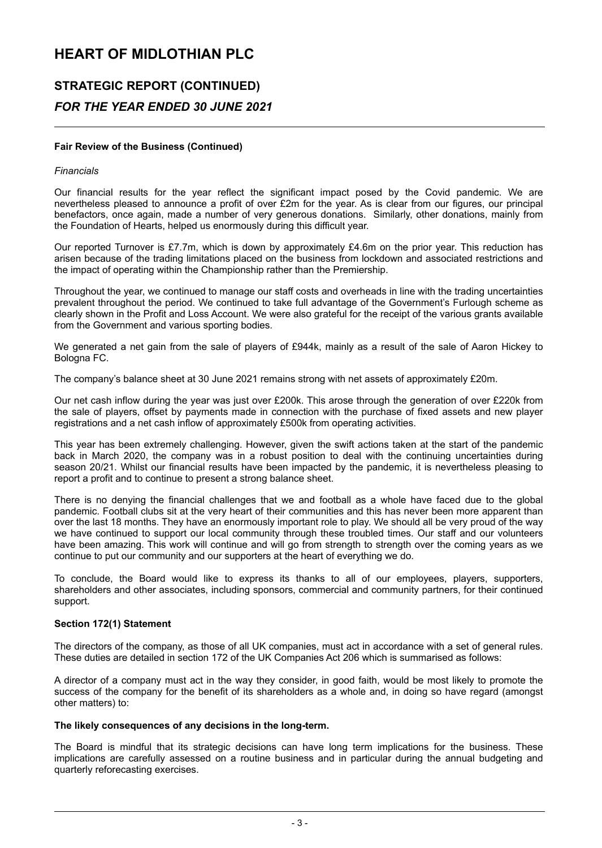# **STRATEGIC REPORT (CONTINUED)** *FOR THE YEAR ENDED 30 JUNE 2021*

#### **Fair Review of the Business (Continued)**

#### *Financials*

Our financial results for the year reflect the significant impact posed by the Covid pandemic. We are nevertheless pleased to announce a profit of over £2m for the year. As is clear from our figures, our principal benefactors, once again, made a number of very generous donations. Similarly, other donations, mainly from the Foundation of Hearts, helped us enormously during this difficult year.

Our reported Turnover is £7.7m, which is down by approximately £4.6m on the prior year. This reduction has arisen because of the trading limitations placed on the business from lockdown and associated restrictions and the impact of operating within the Championship rather than the Premiership.

Throughout the year, we continued to manage our staff costs and overheads in line with the trading uncertainties prevalent throughout the period. We continued to take full advantage of the Government's Furlough scheme as clearly shown in the Profit and Loss Account. We were also grateful for the receipt of the various grants available from the Government and various sporting bodies.

We generated a net gain from the sale of players of £944k, mainly as a result of the sale of Aaron Hickey to Bologna FC.

The company's balance sheet at 30 June 2021 remains strong with net assets of approximately £20m.

Our net cash inflow during the year was just over £200k. This arose through the generation of over £220k from the sale of players, offset by payments made in connection with the purchase of fixed assets and new player registrations and a net cash inflow of approximately £500k from operating activities.

This year has been extremely challenging. However, given the swift actions taken at the start of the pandemic back in March 2020, the company was in a robust position to deal with the continuing uncertainties during season 20/21. Whilst our financial results have been impacted by the pandemic, it is nevertheless pleasing to report a profit and to continue to present a strong balance sheet.

There is no denying the financial challenges that we and football as a whole have faced due to the global pandemic. Football clubs sit at the very heart of their communities and this has never been more apparent than over the last 18 months. They have an enormously important role to play. We should all be very proud of the way we have continued to support our local community through these troubled times. Our staff and our volunteers have been amazing. This work will continue and will go from strength to strength over the coming years as we continue to put our community and our supporters at the heart of everything we do.

To conclude, the Board would like to express its thanks to all of our employees, players, supporters, shareholders and other associates, including sponsors, commercial and community partners, for their continued support.

#### **Section 172(1) Statement**

The directors of the company, as those of all UK companies, must act in accordance with a set of general rules. These duties are detailed in section 172 of the UK Companies Act 206 which is summarised as follows:

A director of a company must act in the way they consider, in good faith, would be most likely to promote the success of the company for the benefit of its shareholders as a whole and, in doing so have regard (amongst other matters) to:

#### **The likely consequences of any decisions in the long-term.**

The Board is mindful that its strategic decisions can have long term implications for the business. These implications are carefully assessed on a routine business and in particular during the annual budgeting and quarterly reforecasting exercises.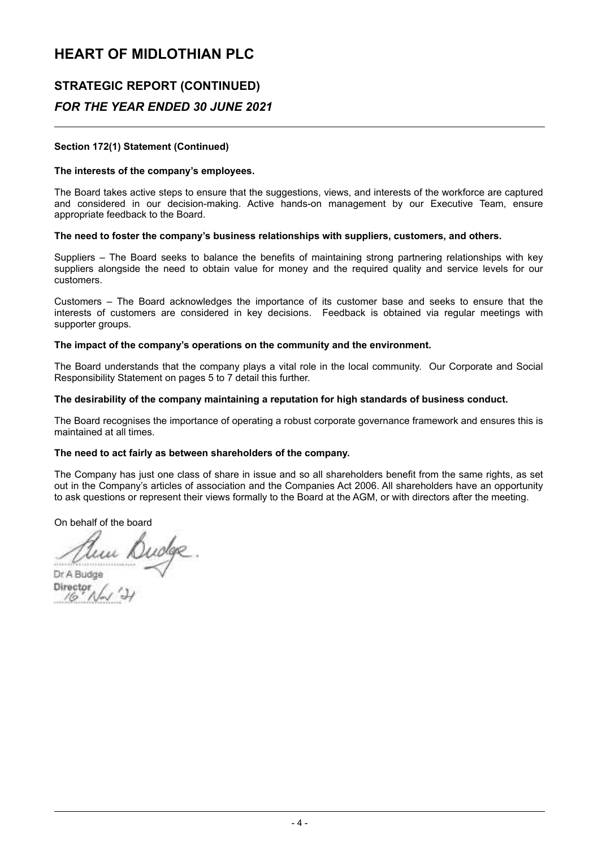# **STRATEGIC REPORT (CONTINUED)**

### *FOR THE YEAR ENDED 30 JUNE 2021*

#### **Section 172(1) Statement (Continued)**

#### **The interests of the company's employees.**

The Board takes active steps to ensure that the suggestions, views, and interests of the workforce are captured and considered in our decision-making. Active hands-on management by our Executive Team, ensure appropriate feedback to the Board.

#### **The need to foster the company's business relationships with suppliers, customers, and others.**

Suppliers – The Board seeks to balance the benefits of maintaining strong partnering relationships with key suppliers alongside the need to obtain value for money and the required quality and service levels for our customers.

Customers – The Board acknowledges the importance of its customer base and seeks to ensure that the interests of customers are considered in key decisions. Feedback is obtained via regular meetings with supporter groups.

#### **The impact of the company's operations on the community and the environment.**

The Board understands that the company plays a vital role in the local community. Our Corporate and Social Responsibility Statement on pages 5 to 7 detail this further.

#### **The desirability of the company maintaining a reputation for high standards of business conduct.**

The Board recognises the importance of operating a robust corporate governance framework and ensures this is maintained at all times.

#### **The need to act fairly as between shareholders of the company.**

The Company has just one class of share in issue and so all shareholders benefit from the same rights, as set out in the Company's articles of association and the Companies Act 2006. All shareholders have an opportunity to ask questions or represent their views formally to the Board at the AGM, or with directors after the meeting.

On behalf of the board

..............................

Dr A Budge **Director**  $110'$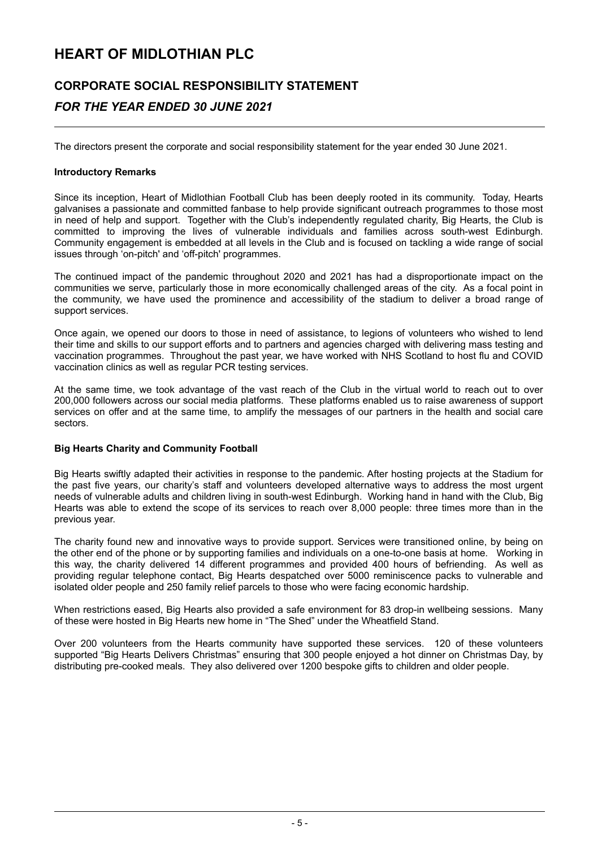# **CORPORATE SOCIAL RESPONSIBILITY STATEMENT** *FOR THE YEAR ENDED 30 JUNE 2021*

The directors present the corporate and social responsibility statement for the year ended 30 June 2021.

#### **Introductory Remarks**

Since its inception, Heart of Midlothian Football Club has been deeply rooted in its community. Today, Hearts galvanises a passionate and committed fanbase to help provide significant outreach programmes to those most in need of help and support. Together with the Club's independently regulated charity, Big Hearts, the Club is committed to improving the lives of vulnerable individuals and families across south-west Edinburgh. Community engagement is embedded at all levels in the Club and is focused on tackling a wide range of social issues through 'on-pitch' and 'off-pitch' programmes.

The continued impact of the pandemic throughout 2020 and 2021 has had a disproportionate impact on the communities we serve, particularly those in more economically challenged areas of the city. As a focal point in the community, we have used the prominence and accessibility of the stadium to deliver a broad range of support services.

Once again, we opened our doors to those in need of assistance, to legions of volunteers who wished to lend their time and skills to our support efforts and to partners and agencies charged with delivering mass testing and vaccination programmes. Throughout the past year, we have worked with NHS Scotland to host flu and COVID vaccination clinics as well as regular PCR testing services.

At the same time, we took advantage of the vast reach of the Club in the virtual world to reach out to over 200,000 followers across our social media platforms. These platforms enabled us to raise awareness of support services on offer and at the same time, to amplify the messages of our partners in the health and social care sectors.

#### **Big Hearts Charity and Community Football**

Big Hearts swiftly adapted their activities in response to the pandemic. After hosting projects at the Stadium for the past five years, our charity's staff and volunteers developed alternative ways to address the most urgent needs of vulnerable adults and children living in south-west Edinburgh. Working hand in hand with the Club, Big Hearts was able to extend the scope of its services to reach over 8,000 people: three times more than in the previous year.

The charity found new and innovative ways to provide support. Services were transitioned online, by being on the other end of the phone or by supporting families and individuals on a one-to-one basis at home. Working in this way, the charity delivered 14 different programmes and provided 400 hours of befriending. As well as providing regular telephone contact, Big Hearts despatched over 5000 reminiscence packs to vulnerable and isolated older people and 250 family relief parcels to those who were facing economic hardship.

When restrictions eased, Big Hearts also provided a safe environment for 83 drop-in wellbeing sessions. Many of these were hosted in Big Hearts new home in "The Shed" under the Wheatfield Stand.

Over 200 volunteers from the Hearts community have supported these services. 120 of these volunteers supported "Big Hearts Delivers Christmas" ensuring that 300 people enjoyed a hot dinner on Christmas Day, by distributing pre-cooked meals. They also delivered over 1200 bespoke gifts to children and older people.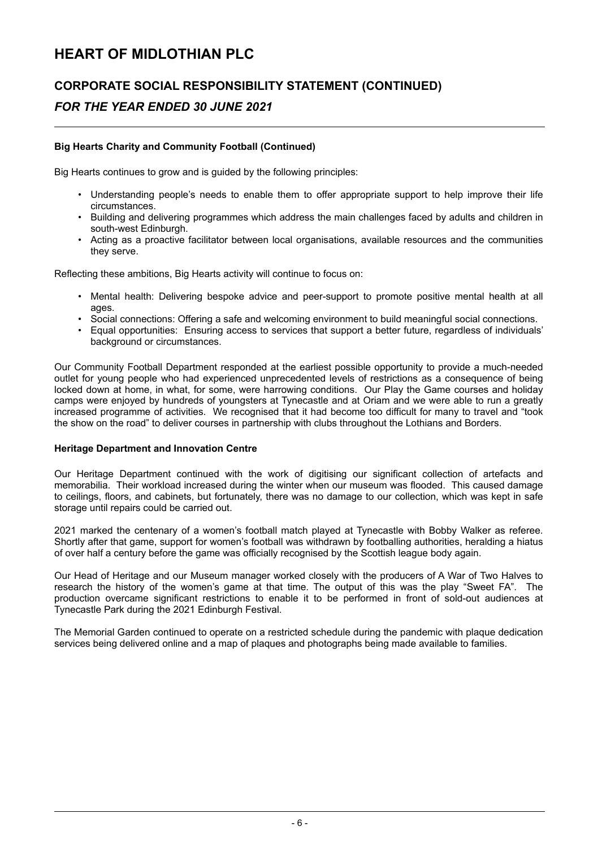# **CORPORATE SOCIAL RESPONSIBILITY STATEMENT (CONTINUED)** *FOR THE YEAR ENDED 30 JUNE 2021*

#### **Big Hearts Charity and Community Football (Continued)**

Big Hearts continues to grow and is guided by the following principles:

- Understanding people's needs to enable them to offer appropriate support to help improve their life circumstances.
- Building and delivering programmes which address the main challenges faced by adults and children in south-west Edinburgh.
- Acting as a proactive facilitator between local organisations, available resources and the communities they serve.

Reflecting these ambitions, Big Hearts activity will continue to focus on:

- Mental health: Delivering bespoke advice and peer-support to promote positive mental health at all ages.
- Social connections: Offering a safe and welcoming environment to build meaningful social connections.
- Equal opportunities: Ensuring access to services that support a better future, regardless of individuals' background or circumstances.

Our Community Football Department responded at the earliest possible opportunity to provide a much-needed outlet for young people who had experienced unprecedented levels of restrictions as a consequence of being locked down at home, in what, for some, were harrowing conditions. Our Play the Game courses and holiday camps were enjoyed by hundreds of youngsters at Tynecastle and at Oriam and we were able to run a greatly increased programme of activities. We recognised that it had become too difficult for many to travel and "took the show on the road" to deliver courses in partnership with clubs throughout the Lothians and Borders.

#### **Heritage Department and Innovation Centre**

Our Heritage Department continued with the work of digitising our significant collection of artefacts and memorabilia. Their workload increased during the winter when our museum was flooded. This caused damage to ceilings, floors, and cabinets, but fortunately, there was no damage to our collection, which was kept in safe storage until repairs could be carried out.

2021 marked the centenary of a women's football match played at Tynecastle with Bobby Walker as referee. Shortly after that game, support for women's football was withdrawn by footballing authorities, heralding a hiatus of over half a century before the game was officially recognised by the Scottish league body again.

Our Head of Heritage and our Museum manager worked closely with the producers of A War of Two Halves to research the history of the women's game at that time. The output of this was the play "Sweet FA". The production overcame significant restrictions to enable it to be performed in front of sold-out audiences at Tynecastle Park during the 2021 Edinburgh Festival.

The Memorial Garden continued to operate on a restricted schedule during the pandemic with plaque dedication services being delivered online and a map of plaques and photographs being made available to families.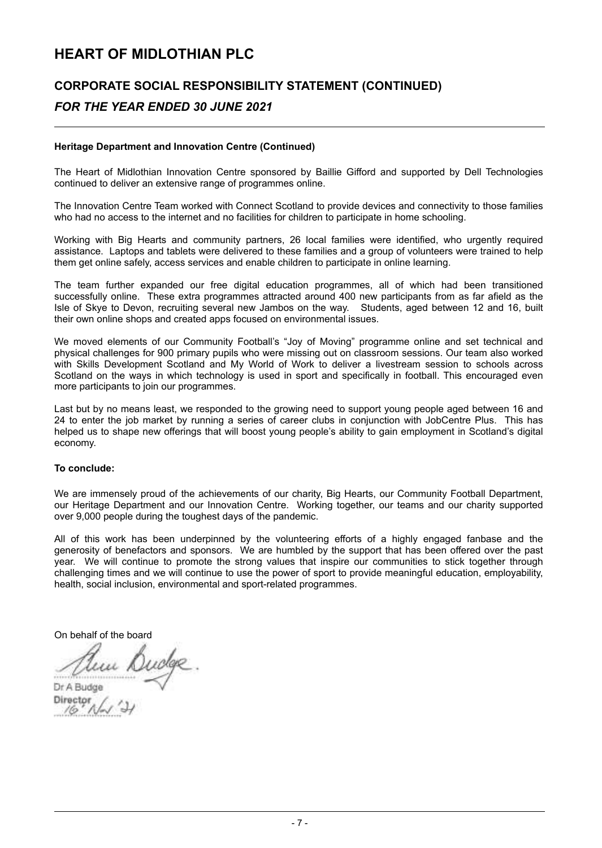# **CORPORATE SOCIAL RESPONSIBILITY STATEMENT (CONTINUED)**

### *FOR THE YEAR ENDED 30 JUNE 2021*

#### **Heritage Department and Innovation Centre (Continued)**

The Heart of Midlothian Innovation Centre sponsored by Baillie Gifford and supported by Dell Technologies continued to deliver an extensive range of programmes online.

The Innovation Centre Team worked with Connect Scotland to provide devices and connectivity to those families who had no access to the internet and no facilities for children to participate in home schooling.

Working with Big Hearts and community partners, 26 local families were identified, who urgently required assistance. Laptops and tablets were delivered to these families and a group of volunteers were trained to help them get online safely, access services and enable children to participate in online learning.

The team further expanded our free digital education programmes, all of which had been transitioned successfully online. These extra programmes attracted around 400 new participants from as far afield as the Isle of Skye to Devon, recruiting several new Jambos on the way. Students, aged between 12 and 16, built their own online shops and created apps focused on environmental issues.

We moved elements of our Community Football's "Joy of Moving" programme online and set technical and physical challenges for 900 primary pupils who were missing out on classroom sessions. Our team also worked with Skills Development Scotland and My World of Work to deliver a livestream session to schools across Scotland on the ways in which technology is used in sport and specifically in football. This encouraged even more participants to join our programmes.

Last but by no means least, we responded to the growing need to support young people aged between 16 and 24 to enter the job market by running a series of career clubs in conjunction with JobCentre Plus. This has helped us to shape new offerings that will boost young people's ability to gain employment in Scotland's digital economy.

#### **To conclude:**

We are immensely proud of the achievements of our charity, Big Hearts, our Community Football Department, our Heritage Department and our Innovation Centre. Working together, our teams and our charity supported over 9,000 people during the toughest days of the pandemic.

All of this work has been underpinned by the volunteering efforts of a highly engaged fanbase and the generosity of benefactors and sponsors. We are humbled by the support that has been offered over the past year. We will continue to promote the strong values that inspire our communities to stick together through challenging times and we will continue to use the power of sport to provide meaningful education, employability, health, social inclusion, environmental and sport-related programmes.

On behalf of the board

.............................. Dr A Budge

**Director**  $16'$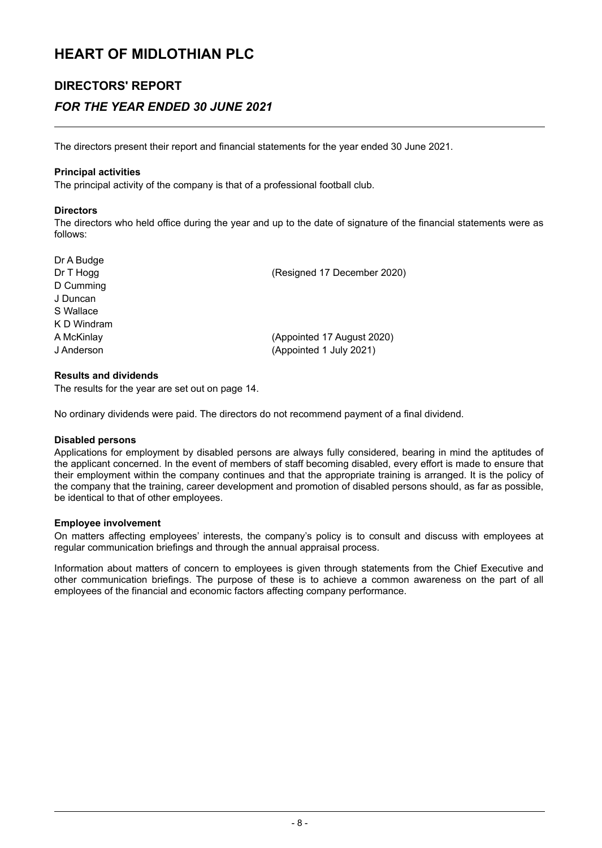# **DIRECTORS' REPORT** *FOR THE YEAR ENDED 30 JUNE 2021*

The directors present their report and financial statements for the year ended 30 June 2021.

#### **Principal activities**

The principal activity of the company is that of a professional football club.

#### **Directors**

The directors who held office during the year and up to the date of signature of the financial statements were as follows:

| Dr A Budge  |                             |
|-------------|-----------------------------|
| Dr T Hogg   | (Resigned 17 December 2020) |
| D Cumming   |                             |
| J Duncan    |                             |
| S Wallace   |                             |
| K D Windram |                             |
| A McKinlay  | (Appointed 17 August 2020)  |
| J Anderson  | (Appointed 1 July 2021)     |
|             |                             |

#### **Results and dividends**

The results for the year are set out on page 14.

No ordinary dividends were paid. The directors do not recommend payment of a final dividend.

#### **Disabled persons**

Applications for employment by disabled persons are always fully considered, bearing in mind the aptitudes of the applicant concerned. In the event of members of staff becoming disabled, every effort is made to ensure that their employment within the company continues and that the appropriate training is arranged. It is the policy of the company that the training, career development and promotion of disabled persons should, as far as possible, be identical to that of other employees.

#### **Employee involvement**

On matters affecting employees' interests, the company's policy is to consult and discuss with employees at regular communication briefings and through the annual appraisal process.

Information about matters of concern to employees is given through statements from the Chief Executive and other communication briefings. The purpose of these is to achieve a common awareness on the part of all employees of the financial and economic factors affecting company performance.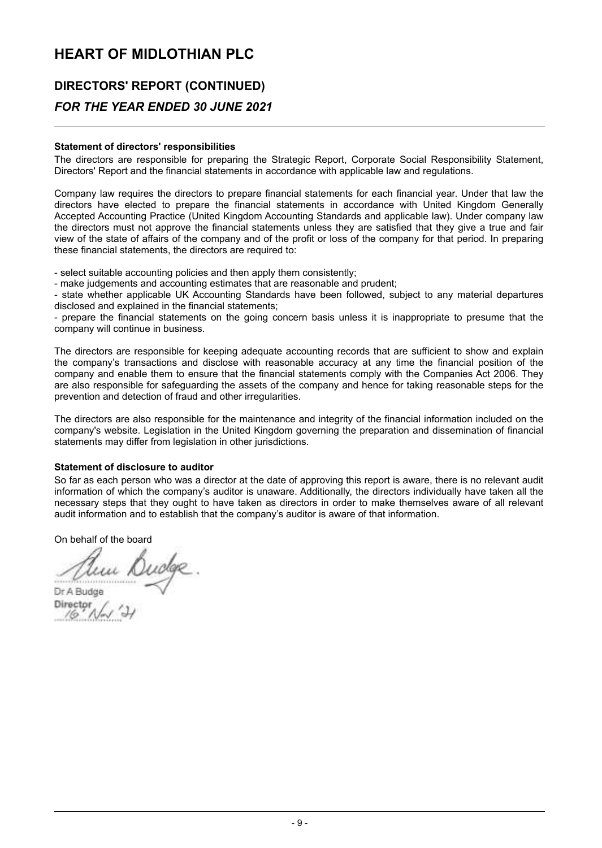# **DIRECTORS' REPORT (CONTINUED)**

### *FOR THE YEAR ENDED 30 JUNE 2021*

#### **Statement of directors' responsibilities**

The directors are responsible for preparing the Strategic Report, Corporate Social Responsibility Statement, Directors' Report and the financial statements in accordance with applicable law and regulations.

Company law requires the directors to prepare financial statements for each financial year. Under that law the directors have elected to prepare the financial statements in accordance with United Kingdom Generally Accepted Accounting Practice (United Kingdom Accounting Standards and applicable law). Under company law the directors must not approve the financial statements unless they are satisfied that they give a true and fair view of the state of affairs of the company and of the profit or loss of the company for that period. In preparing these financial statements, the directors are required to:

- select suitable accounting policies and then apply them consistently;

- make judgements and accounting estimates that are reasonable and prudent;

- state whether applicable UK Accounting Standards have been followed, subject to any material departures disclosed and explained in the financial statements;

- prepare the financial statements on the going concern basis unless it is inappropriate to presume that the company will continue in business.

The directors are responsible for keeping adequate accounting records that are sufficient to show and explain the company's transactions and disclose with reasonable accuracy at any time the financial position of the company and enable them to ensure that the financial statements comply with the Companies Act 2006. They are also responsible for safeguarding the assets of the company and hence for taking reasonable steps for the prevention and detection of fraud and other irregularities.

The directors are also responsible for the maintenance and integrity of the financial information included on the company's website. Legislation in the United Kingdom governing the preparation and dissemination of financial statements may differ from legislation in other jurisdictions.

#### **Statement of disclosure to auditor**

So far as each person who was a director at the date of approving this report is aware, there is no relevant audit information of which the company's auditor is unaware. Additionally, the directors individually have taken all the necessary steps that they ought to have taken as directors in order to make themselves aware of all relevant audit information and to establish that the company's auditor is aware of that information.

On behalf of the board

.............................. Dr A Budge

**Director**  $.02.1$ VeV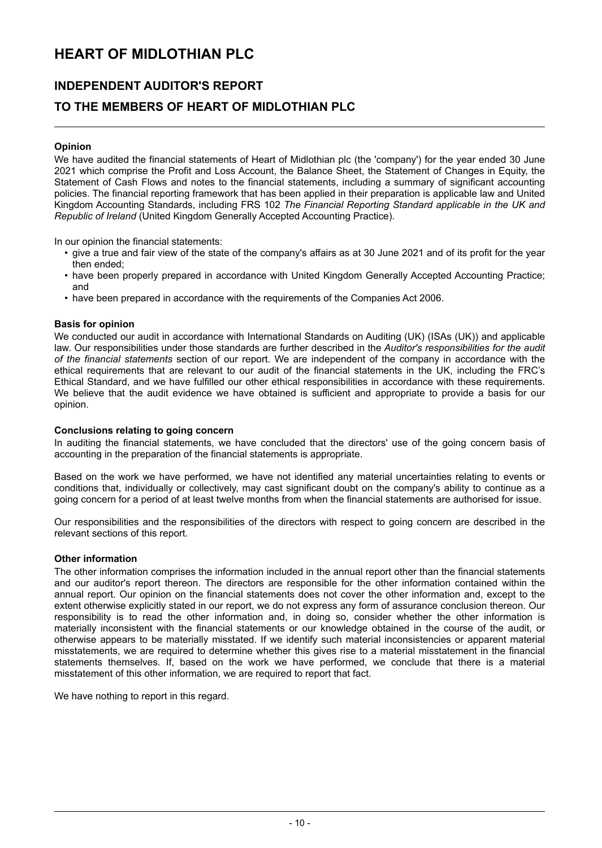### **INDEPENDENT AUDITOR'S REPORT**

### **TO THE MEMBERS OF HEART OF MIDLOTHIAN PLC**

#### **Opinion**

We have audited the financial statements of Heart of Midlothian plc (the 'company') for the year ended 30 June 2021 which comprise the Profit and Loss Account, the Balance Sheet, the Statement of Changes in Equity, the Statement of Cash Flows and notes to the financial statements, including a summary of significant accounting policies. The financial reporting framework that has been applied in their preparation is applicable law and United Kingdom Accounting Standards, including FRS 102 *The Financial Reporting Standard applicable in the UK and Republic of Ireland* (United Kingdom Generally Accepted Accounting Practice).

In our opinion the financial statements:

- give a true and fair view of the state of the company's affairs as at 30 June 2021 and of its profit for the year then ended;
- have been properly prepared in accordance with United Kingdom Generally Accepted Accounting Practice; and
- have been prepared in accordance with the requirements of the Companies Act 2006.

#### **Basis for opinion**

We conducted our audit in accordance with International Standards on Auditing (UK) (ISAs (UK)) and applicable law. Our responsibilities under those standards are further described in the *Auditor's responsibilities for the audit of the financial statements* section of our report. We are independent of the company in accordance with the ethical requirements that are relevant to our audit of the financial statements in the UK, including the FRC's Ethical Standard, and we have fulfilled our other ethical responsibilities in accordance with these requirements. We believe that the audit evidence we have obtained is sufficient and appropriate to provide a basis for our opinion.

#### **Conclusions relating to going concern**

In auditing the financial statements, we have concluded that the directors' use of the going concern basis of accounting in the preparation of the financial statements is appropriate.

Based on the work we have performed, we have not identified any material uncertainties relating to events or conditions that, individually or collectively, may cast significant doubt on the company's ability to continue as a going concern for a period of at least twelve months from when the financial statements are authorised for issue.

Our responsibilities and the responsibilities of the directors with respect to going concern are described in the relevant sections of this report.

#### **Other information**

The other information comprises the information included in the annual report other than the financial statements and our auditor's report thereon. The directors are responsible for the other information contained within the annual report. Our opinion on the financial statements does not cover the other information and, except to the extent otherwise explicitly stated in our report, we do not express any form of assurance conclusion thereon. Our responsibility is to read the other information and, in doing so, consider whether the other information is materially inconsistent with the financial statements or our knowledge obtained in the course of the audit, or otherwise appears to be materially misstated. If we identify such material inconsistencies or apparent material misstatements, we are required to determine whether this gives rise to a material misstatement in the financial statements themselves. If, based on the work we have performed, we conclude that there is a material misstatement of this other information, we are required to report that fact.

We have nothing to report in this regard.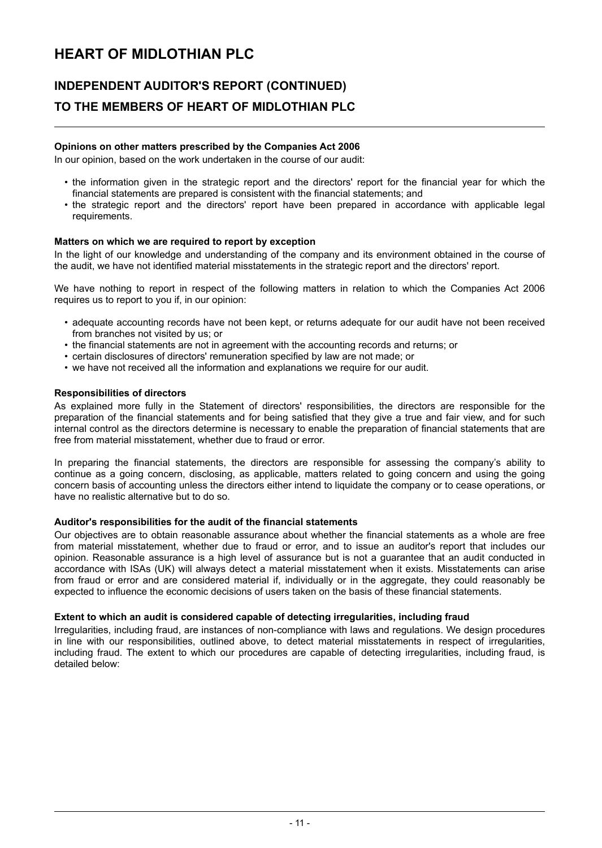# **INDEPENDENT AUDITOR'S REPORT (CONTINUED) TO THE MEMBERS OF HEART OF MIDLOTHIAN PLC**

#### **Opinions on other matters prescribed by the Companies Act 2006**

In our opinion, based on the work undertaken in the course of our audit:

- the information given in the strategic report and the directors' report for the financial year for which the financial statements are prepared is consistent with the financial statements; and
- the strategic report and the directors' report have been prepared in accordance with applicable legal requirements.

#### **Matters on which we are required to report by exception**

In the light of our knowledge and understanding of the company and its environment obtained in the course of the audit, we have not identified material misstatements in the strategic report and the directors' report.

We have nothing to report in respect of the following matters in relation to which the Companies Act 2006 requires us to report to you if, in our opinion:

- adequate accounting records have not been kept, or returns adequate for our audit have not been received from branches not visited by us; or
- the financial statements are not in agreement with the accounting records and returns; or
- certain disclosures of directors' remuneration specified by law are not made; or
- we have not received all the information and explanations we require for our audit.

#### **Responsibilities of directors**

As explained more fully in the Statement of directors' responsibilities, the directors are responsible for the preparation of the financial statements and for being satisfied that they give a true and fair view, and for such internal control as the directors determine is necessary to enable the preparation of financial statements that are free from material misstatement, whether due to fraud or error.

In preparing the financial statements, the directors are responsible for assessing the company's ability to continue as a going concern, disclosing, as applicable, matters related to going concern and using the going concern basis of accounting unless the directors either intend to liquidate the company or to cease operations, or have no realistic alternative but to do so.

#### **Auditor's responsibilities for the audit of the financial statements**

Our objectives are to obtain reasonable assurance about whether the financial statements as a whole are free from material misstatement, whether due to fraud or error, and to issue an auditor's report that includes our opinion. Reasonable assurance is a high level of assurance but is not a guarantee that an audit conducted in accordance with ISAs (UK) will always detect a material misstatement when it exists. Misstatements can arise from fraud or error and are considered material if, individually or in the aggregate, they could reasonably be expected to influence the economic decisions of users taken on the basis of these financial statements.

#### **Extent to which an audit is considered capable of detecting irregularities, including fraud**

Irregularities, including fraud, are instances of non-compliance with laws and regulations. We design procedures in line with our responsibilities, outlined above, to detect material misstatements in respect of irregularities, including fraud. The extent to which our procedures are capable of detecting irregularities, including fraud, is detailed below: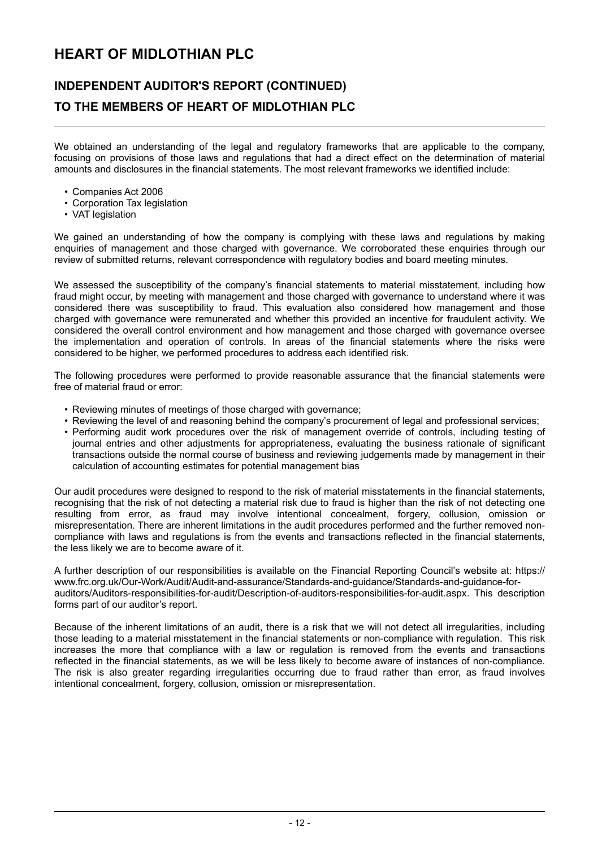# **INDEPENDENT AUDITOR'S REPORT (CONTINUED) TO THE MEMBERS OF HEART OF MIDLOTHIAN PLC**

We obtained an understanding of the legal and regulatory frameworks that are applicable to the company, focusing on provisions of those laws and regulations that had a direct effect on the determination of material amounts and disclosures in the financial statements. The most relevant frameworks we identified include:

- Companies Act 2006
- Corporation Tax legislation
- VAT legislation

We gained an understanding of how the company is complying with these laws and regulations by making enquiries of management and those charged with governance. We corroborated these enquiries through our review of submitted returns, relevant correspondence with regulatory bodies and board meeting minutes.

We assessed the susceptibility of the company's financial statements to material misstatement, including how fraud might occur, by meeting with management and those charged with governance to understand where it was considered there was susceptibility to fraud. This evaluation also considered how management and those charged with governance were remunerated and whether this provided an incentive for fraudulent activity. We considered the overall control environment and how management and those charged with governance oversee the implementation and operation of controls. In areas of the financial statements where the risks were considered to be higher, we performed procedures to address each identified risk.

The following procedures were performed to provide reasonable assurance that the financial statements were free of material fraud or error:

- Reviewing minutes of meetings of those charged with governance;
- Reviewing the level of and reasoning behind the company's procurement of legal and professional services;
- Performing audit work procedures over the risk of management override of controls, including testing of journal entries and other adjustments for appropriateness, evaluating the business rationale of significant transactions outside the normal course of business and reviewing judgements made by management in their calculation of accounting estimates for potential management bias

Our audit procedures were designed to respond to the risk of material misstatements in the financial statements, recognising that the risk of not detecting a material risk due to fraud is higher than the risk of not detecting one resulting from error, as fraud may involve intentional concealment, forgery, collusion, omission or misrepresentation. There are inherent limitations in the audit procedures performed and the further removed noncompliance with laws and regulations is from the events and transactions reflected in the financial statements, the less likely we are to become aware of it.

A further description of our responsibilities is available on the Financial Reporting Council's website at: https:// www.frc.org.uk/Our-Work/Audit/Audit-and-assurance/Standards-and-guidance/Standards-and-guidance-forauditors/Auditors-responsibilities-for-audit/Description-of-auditors-responsibilities-for-audit.aspx. This description forms part of our auditor's report.

Because of the inherent limitations of an audit, there is a risk that we will not detect all irregularities, including those leading to a material misstatement in the financial statements or non-compliance with regulation. This risk increases the more that compliance with a law or regulation is removed from the events and transactions reflected in the financial statements, as we will be less likely to become aware of instances of non-compliance. The risk is also greater regarding irregularities occurring due to fraud rather than error, as fraud involves intentional concealment, forgery, collusion, omission or misrepresentation.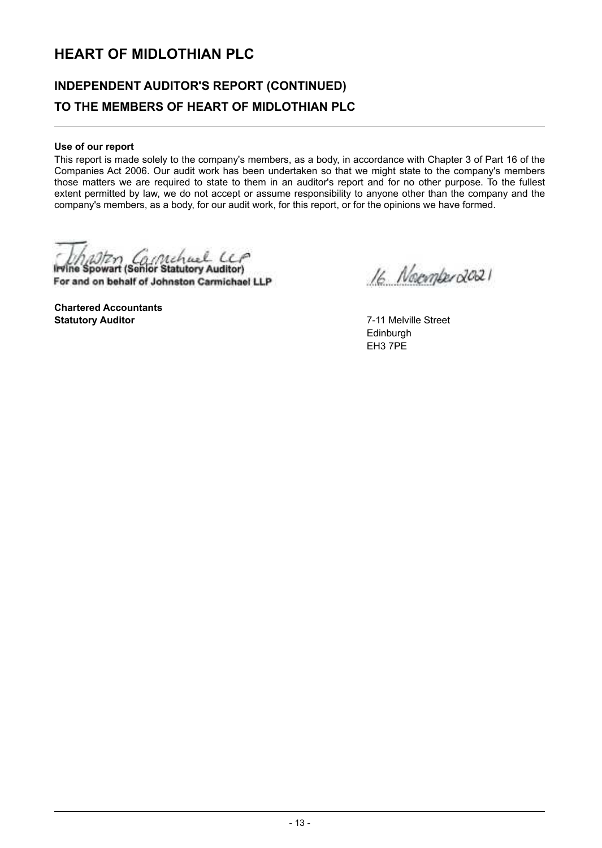# **INDEPENDENT AUDITOR'S REPORT (CONTINUED) TO THE MEMBERS OF HEART OF MIDLOTHIAN PLC**

#### **Use of our report**

This report is made solely to the company's members, as a body, in accordance with Chapter 3 of Part 16 of the Companies Act 2006. Our audit work has been undertaken so that we might state to the company's members those matters we are required to state to them in an auditor's report and for no other purpose. To the fullest extent permitted by law, we do not accept or assume responsibility to anyone other than the company and the company's members, as a body, for our audit work, for this report, or for the opinions we have formed.

**Irvine Spowart (Senior Statutory Auditor)**

**For and on behalf of Johnston Carmichael LLP** .........................

**Chartered Accountants Statutory Auditor** 7-11 Melville Street

**Edinburgh** EH3 7PE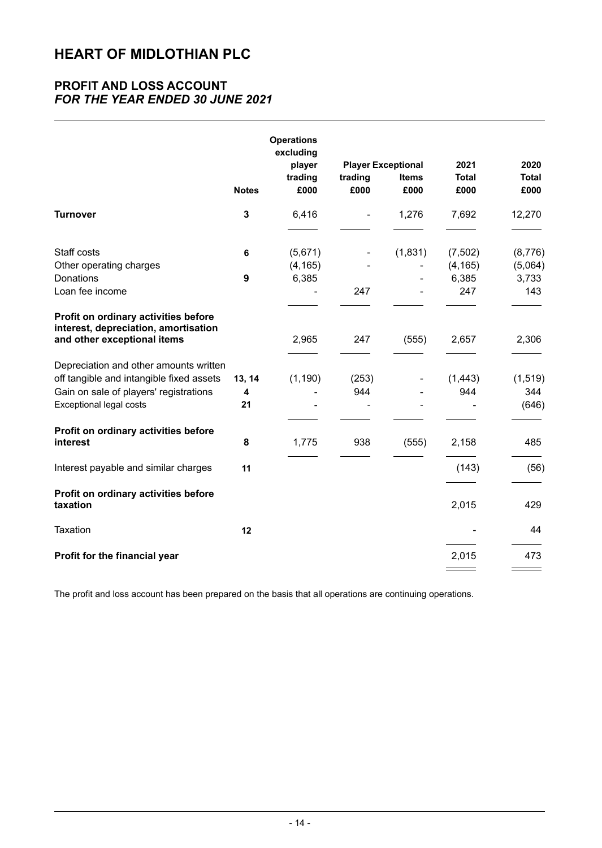### **PROFIT AND LOSS ACCOUNT** *FOR THE YEAR ENDED 30 JUNE 2021*

|                                                                                                             |                         | <b>Operations</b><br>excluding |                 |                                                   |                              |                              |
|-------------------------------------------------------------------------------------------------------------|-------------------------|--------------------------------|-----------------|---------------------------------------------------|------------------------------|------------------------------|
|                                                                                                             | <b>Notes</b>            | player<br>trading<br>£000      | trading<br>£000 | <b>Player Exceptional</b><br><b>Items</b><br>£000 | 2021<br><b>Total</b><br>£000 | 2020<br><b>Total</b><br>£000 |
| <b>Turnover</b>                                                                                             | $\mathbf 3$             | 6,416                          |                 | 1,276                                             | 7,692                        | 12,270                       |
| Staff costs                                                                                                 | 6                       | (5,671)                        |                 | (1,831)                                           | (7, 502)                     | (8,776)                      |
| Other operating charges                                                                                     |                         | (4, 165)                       |                 |                                                   | (4, 165)                     | (5,064)                      |
| Donations                                                                                                   | $\boldsymbol{9}$        | 6,385                          |                 |                                                   | 6,385                        | 3,733                        |
| Loan fee income                                                                                             |                         |                                | 247             |                                                   | 247                          | 143                          |
| Profit on ordinary activities before<br>interest, depreciation, amortisation<br>and other exceptional items |                         | 2,965                          | 247             | (555)                                             | 2,657                        | 2,306                        |
| Depreciation and other amounts written                                                                      |                         |                                |                 |                                                   |                              |                              |
| off tangible and intangible fixed assets                                                                    | 13, 14                  | (1, 190)                       | (253)           |                                                   | (1, 443)                     | (1, 519)                     |
| Gain on sale of players' registrations                                                                      | $\overline{\mathbf{4}}$ |                                | 944             |                                                   | 944                          | 344                          |
| <b>Exceptional legal costs</b>                                                                              | 21                      |                                |                 |                                                   |                              | (646)                        |
| Profit on ordinary activities before                                                                        |                         |                                |                 |                                                   |                              |                              |
| interest                                                                                                    | 8                       | 1,775                          | 938             | (555)                                             | 2,158                        | 485                          |
| Interest payable and similar charges                                                                        | 11                      |                                |                 |                                                   | (143)                        | (56)                         |
| Profit on ordinary activities before                                                                        |                         |                                |                 |                                                   |                              |                              |
| taxation                                                                                                    |                         |                                |                 |                                                   | 2,015                        | 429                          |
| Taxation                                                                                                    | 12                      |                                |                 |                                                   |                              | 44                           |
| Profit for the financial year                                                                               |                         |                                |                 |                                                   | 2,015                        | 473                          |

The profit and loss account has been prepared on the basis that all operations are continuing operations.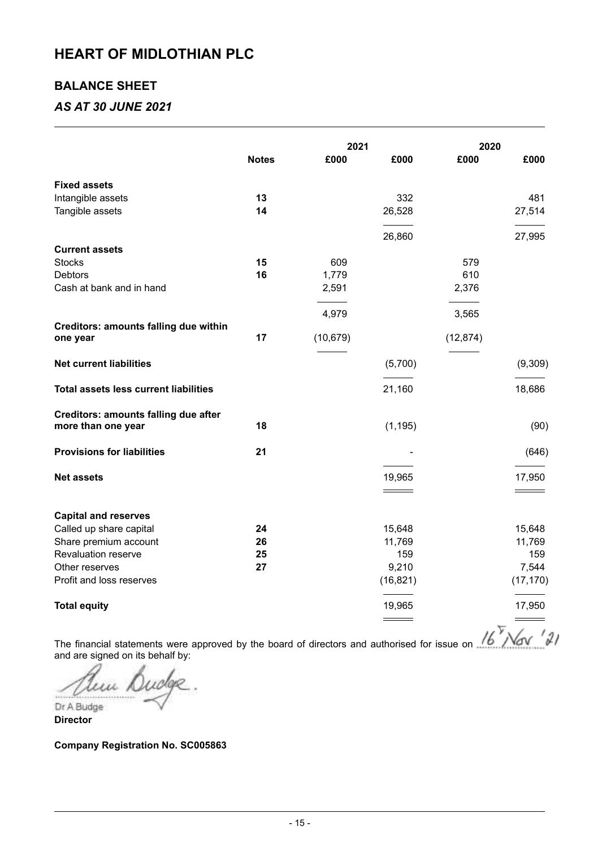### **BALANCE SHEET**

### *AS AT 30 JUNE 2021*

|                                                                   |              |           | 2021      |           | 2020      |
|-------------------------------------------------------------------|--------------|-----------|-----------|-----------|-----------|
|                                                                   | <b>Notes</b> | £000      | £000      | £000      | £000      |
| <b>Fixed assets</b>                                               |              |           |           |           |           |
| Intangible assets                                                 | 13           |           | 332       |           | 481       |
| Tangible assets                                                   | 14           |           | 26,528    |           | 27,514    |
|                                                                   |              |           | 26,860    |           | 27,995    |
| <b>Current assets</b>                                             |              |           |           |           |           |
| <b>Stocks</b>                                                     | 15           | 609       |           | 579       |           |
| <b>Debtors</b>                                                    | 16           | 1,779     |           | 610       |           |
| Cash at bank and in hand                                          |              | 2,591     |           | 2,376     |           |
|                                                                   |              | 4,979     |           | 3,565     |           |
| Creditors: amounts falling due within<br>one year                 | 17           | (10, 679) |           | (12, 874) |           |
| <b>Net current liabilities</b>                                    |              |           | (5,700)   |           | (9,309)   |
| <b>Total assets less current liabilities</b>                      |              |           | 21,160    |           | 18,686    |
| <b>Creditors: amounts falling due after</b><br>more than one year | 18           |           | (1, 195)  |           | (90)      |
| <b>Provisions for liabilities</b>                                 | 21           |           |           |           | (646)     |
| <b>Net assets</b>                                                 |              |           | 19,965    |           | 17,950    |
| <b>Capital and reserves</b>                                       |              |           |           |           |           |
| Called up share capital                                           | 24           |           | 15,648    |           | 15,648    |
| Share premium account                                             | 26           |           | 11,769    |           | 11,769    |
| <b>Revaluation reserve</b>                                        | 25           |           | 159       |           | 159       |
| Other reserves                                                    | 27           |           | 9,210     |           | 7,544     |
| Profit and loss reserves                                          |              |           | (16, 821) |           | (17, 170) |
| <b>Total equity</b>                                               |              |           | 19,965    |           | 17,950    |

The financial statements were approved by the board of directors and authorised for issue on **1996** 1997 and are signed on its behalf by:

.............................. Dr A Budge

**Director**

**Company Registration No. SC005863**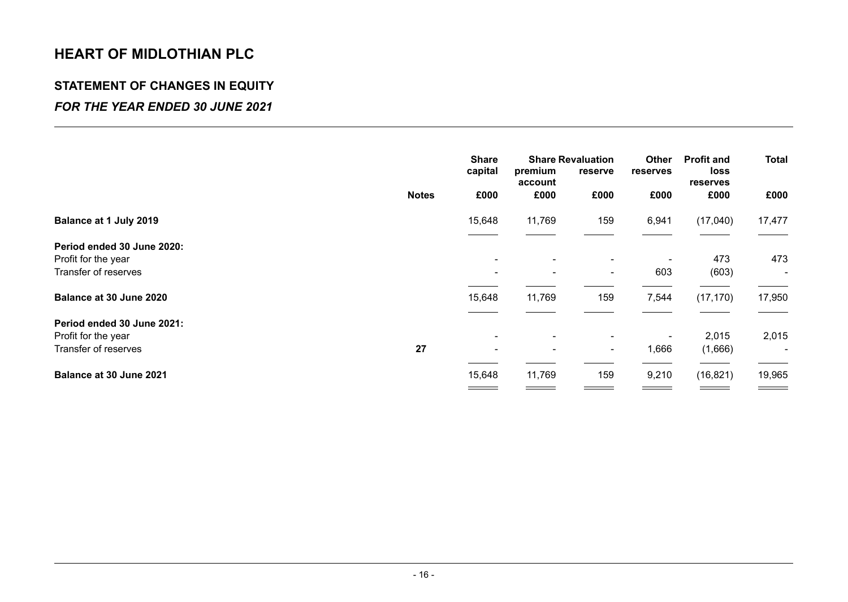# **STATEMENT OF CHANGES IN EQUITY**

*FOR THE YEAR ENDED 30 JUNE 2021*

|                                                                           |              |                          | <b>Share</b><br><b>Share Revaluation</b><br>capital<br>premium<br>reserve<br>account |                          | Other<br>reserves                 | <b>Profit and</b><br>loss<br>reserves | <b>Total</b>                      |
|---------------------------------------------------------------------------|--------------|--------------------------|--------------------------------------------------------------------------------------|--------------------------|-----------------------------------|---------------------------------------|-----------------------------------|
|                                                                           | <b>Notes</b> | £000                     | £000                                                                                 | £000                     | £000                              | £000                                  | £000                              |
| Balance at 1 July 2019                                                    |              | 15,648                   | 11,769                                                                               | 159                      | 6,941                             | (17,040)                              | 17,477                            |
| Period ended 30 June 2020:<br>Profit for the year<br>Transfer of reserves |              | $\overline{\phantom{a}}$ | $\overline{\phantom{a}}$                                                             | $\overline{\phantom{a}}$ | $\qquad \qquad$<br>603            | 473<br>(603)                          | 473<br>$\overline{\phantom{0}}$   |
| Balance at 30 June 2020                                                   |              | 15,648                   | 11,769                                                                               | 159                      | 7,544                             | (17, 170)                             | 17,950                            |
| Period ended 30 June 2021:<br>Profit for the year<br>Transfer of reserves | 27           | $\overline{\phantom{a}}$ | $\qquad \qquad \blacksquare$                                                         | $\overline{\phantom{a}}$ | $\overline{\phantom{a}}$<br>1,666 | 2,015<br>(1,666)                      | 2,015<br>$\overline{\phantom{a}}$ |
| Balance at 30 June 2021                                                   |              | 15,648                   | 11,769                                                                               | 159                      | 9,210                             | (16, 821)                             | 19,965                            |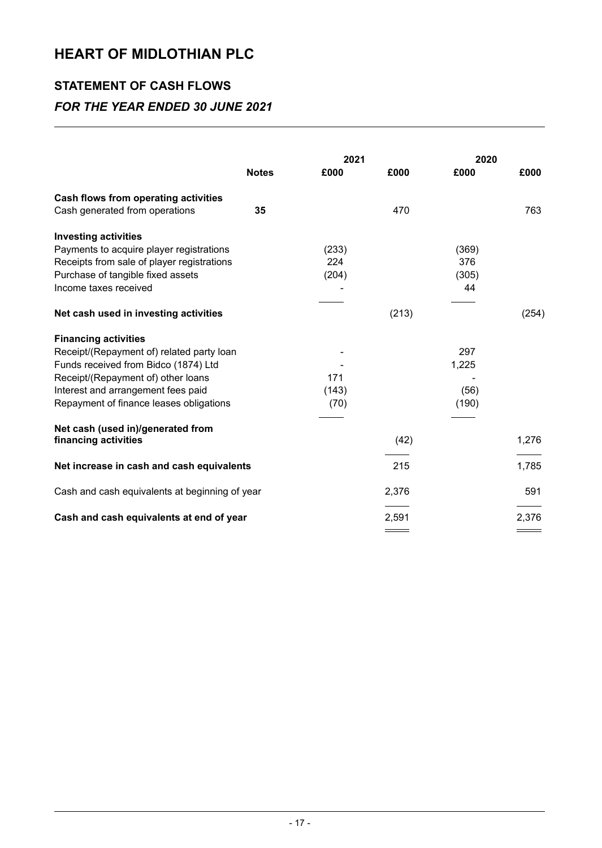# **STATEMENT OF CASH FLOWS**

*FOR THE YEAR ENDED 30 JUNE 2021*

|                                                | <b>Notes</b> | 2021<br>£000 | £000  | 2020<br>£000 | £000  |
|------------------------------------------------|--------------|--------------|-------|--------------|-------|
| <b>Cash flows from operating activities</b>    |              |              |       |              |       |
| Cash generated from operations                 | 35           |              | 470   |              | 763   |
| <b>Investing activities</b>                    |              |              |       |              |       |
| Payments to acquire player registrations       |              | (233)        |       | (369)        |       |
| Receipts from sale of player registrations     |              | 224          |       | 376          |       |
| Purchase of tangible fixed assets              |              | (204)        |       | (305)        |       |
| Income taxes received                          |              |              |       | 44           |       |
| Net cash used in investing activities          |              |              | (213) |              | (254) |
| <b>Financing activities</b>                    |              |              |       |              |       |
| Receipt/(Repayment of) related party loan      |              |              |       | 297          |       |
| Funds received from Bidco (1874) Ltd           |              |              |       | 1,225        |       |
| Receipt/(Repayment of) other loans             |              | 171          |       |              |       |
| Interest and arrangement fees paid             |              | (143)        |       | (56)         |       |
| Repayment of finance leases obligations        |              | (70)         |       | (190)        |       |
| Net cash (used in)/generated from              |              |              |       |              |       |
| financing activities                           |              |              | (42)  |              | 1,276 |
| Net increase in cash and cash equivalents      |              |              | 215   |              | 1,785 |
| Cash and cash equivalents at beginning of year |              |              | 2,376 |              | 591   |
| Cash and cash equivalents at end of year       |              |              | 2,591 |              | 2,376 |
|                                                |              |              |       |              |       |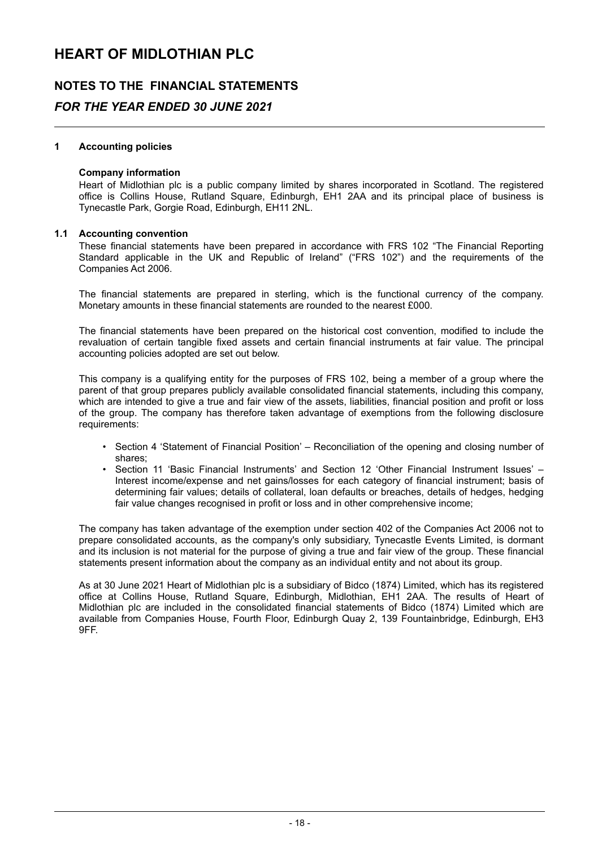### **NOTES TO THE FINANCIAL STATEMENTS**

### *FOR THE YEAR ENDED 30 JUNE 2021*

#### **1 Accounting policies**

#### **Company information**

Heart of Midlothian plc is a public company limited by shares incorporated in Scotland. The registered office is Collins House, Rutland Square, Edinburgh, EH1 2AA and its principal place of business is Tynecastle Park, Gorgie Road, Edinburgh, EH11 2NL.

#### **1.1 Accounting convention**

These financial statements have been prepared in accordance with FRS 102 "The Financial Reporting Standard applicable in the UK and Republic of Ireland" ("FRS 102") and the requirements of the Companies Act 2006.

The financial statements are prepared in sterling, which is the functional currency of the company. Monetary amounts in these financial statements are rounded to the nearest £000.

The financial statements have been prepared on the historical cost convention, modified to include the revaluation of certain tangible fixed assets and certain financial instruments at fair value. The principal accounting policies adopted are set out below.

This company is a qualifying entity for the purposes of FRS 102, being a member of a group where the parent of that group prepares publicly available consolidated financial statements, including this company, which are intended to give a true and fair view of the assets, liabilities, financial position and profit or loss of the group. The company has therefore taken advantage of exemptions from the following disclosure requirements:

- Section 4 'Statement of Financial Position' Reconciliation of the opening and closing number of shares;
- Section 11 'Basic Financial Instruments' and Section 12 'Other Financial Instrument Issues' Interest income/expense and net gains/losses for each category of financial instrument; basis of determining fair values; details of collateral, loan defaults or breaches, details of hedges, hedging fair value changes recognised in profit or loss and in other comprehensive income;

The company has taken advantage of the exemption under section 402 of the Companies Act 2006 not to prepare consolidated accounts, as the company's only subsidiary, Tynecastle Events Limited, is dormant and its inclusion is not material for the purpose of giving a true and fair view of the group. These financial statements present information about the company as an individual entity and not about its group.

As at 30 June 2021 Heart of Midlothian plc is a subsidiary of Bidco (1874) Limited, which has its registered office at Collins House, Rutland Square, Edinburgh, Midlothian, EH1 2AA. The results of Heart of Midlothian plc are included in the consolidated financial statements of Bidco (1874) Limited which are available from Companies House, Fourth Floor, Edinburgh Quay 2, 139 Fountainbridge, Edinburgh, EH3 9FF.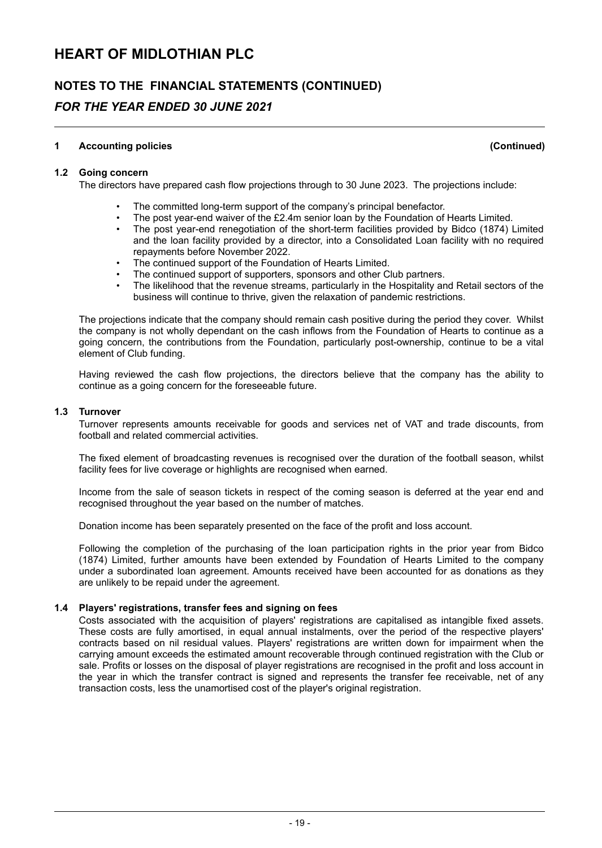# **NOTES TO THE FINANCIAL STATEMENTS (CONTINUED)**

### *FOR THE YEAR ENDED 30 JUNE 2021*

### **1 Accounting policies (Continued)**

#### **1.2 Going concern**

The directors have prepared cash flow projections through to 30 June 2023. The projections include:

- The committed long-term support of the company's principal benefactor.
- The post year-end waiver of the £2.4m senior loan by the Foundation of Hearts Limited.
- The post year-end renegotiation of the short-term facilities provided by Bidco (1874) Limited and the loan facility provided by a director, into a Consolidated Loan facility with no required repayments before November 2022.
- The continued support of the Foundation of Hearts Limited.
- The continued support of supporters, sponsors and other Club partners.
- The likelihood that the revenue streams, particularly in the Hospitality and Retail sectors of the business will continue to thrive, given the relaxation of pandemic restrictions.

The projections indicate that the company should remain cash positive during the period they cover. Whilst the company is not wholly dependant on the cash inflows from the Foundation of Hearts to continue as a going concern, the contributions from the Foundation, particularly post-ownership, continue to be a vital element of Club funding.

Having reviewed the cash flow projections, the directors believe that the company has the ability to continue as a going concern for the foreseeable future.

#### **1.3 Turnover**

Turnover represents amounts receivable for goods and services net of VAT and trade discounts, from football and related commercial activities.

The fixed element of broadcasting revenues is recognised over the duration of the football season, whilst facility fees for live coverage or highlights are recognised when earned.

Income from the sale of season tickets in respect of the coming season is deferred at the year end and recognised throughout the year based on the number of matches.

Donation income has been separately presented on the face of the profit and loss account.

Following the completion of the purchasing of the loan participation rights in the prior year from Bidco (1874) Limited, further amounts have been extended by Foundation of Hearts Limited to the company under a subordinated loan agreement. Amounts received have been accounted for as donations as they are unlikely to be repaid under the agreement.

#### **1.4 Players' registrations, transfer fees and signing on fees**

Costs associated with the acquisition of players' registrations are capitalised as intangible fixed assets. These costs are fully amortised, in equal annual instalments, over the period of the respective players' contracts based on nil residual values. Players' registrations are written down for impairment when the carrying amount exceeds the estimated amount recoverable through continued registration with the Club or sale. Profits or losses on the disposal of player registrations are recognised in the profit and loss account in the year in which the transfer contract is signed and represents the transfer fee receivable, net of any transaction costs, less the unamortised cost of the player's original registration.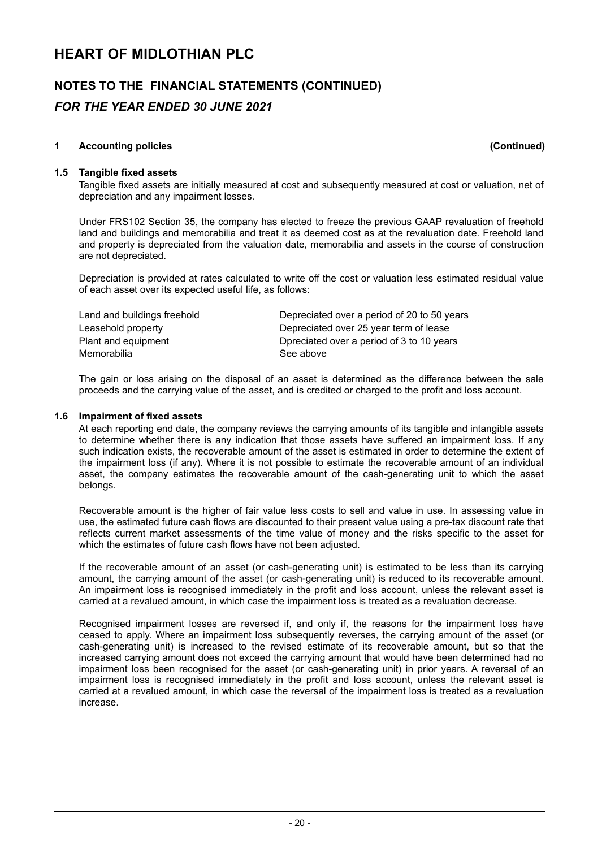# **NOTES TO THE FINANCIAL STATEMENTS (CONTINUED)**

### *FOR THE YEAR ENDED 30 JUNE 2021*

#### **1 Accounting policies (Continued)**

#### **1.5 Tangible fixed assets**

Tangible fixed assets are initially measured at cost and subsequently measured at cost or valuation, net of depreciation and any impairment losses.

Under FRS102 Section 35, the company has elected to freeze the previous GAAP revaluation of freehold land and buildings and memorabilia and treat it as deemed cost as at the revaluation date. Freehold land and property is depreciated from the valuation date, memorabilia and assets in the course of construction are not depreciated.

Depreciation is provided at rates calculated to write off the cost or valuation less estimated residual value of each asset over its expected useful life, as follows:

| Land and buildings freehold | Depreciated over a period of 20 to 50 years |
|-----------------------------|---------------------------------------------|
| Leasehold property          | Depreciated over 25 year term of lease      |
| Plant and equipment         | Direclated over a period of 3 to 10 years   |
| Memorabilia                 | See above                                   |

The gain or loss arising on the disposal of an asset is determined as the difference between the sale proceeds and the carrying value of the asset, and is credited or charged to the profit and loss account.

#### **1.6 Impairment of fixed assets**

At each reporting end date, the company reviews the carrying amounts of its tangible and intangible assets to determine whether there is any indication that those assets have suffered an impairment loss. If any such indication exists, the recoverable amount of the asset is estimated in order to determine the extent of the impairment loss (if any). Where it is not possible to estimate the recoverable amount of an individual asset, the company estimates the recoverable amount of the cash-generating unit to which the asset belongs.

Recoverable amount is the higher of fair value less costs to sell and value in use. In assessing value in use, the estimated future cash flows are discounted to their present value using a pre-tax discount rate that reflects current market assessments of the time value of money and the risks specific to the asset for which the estimates of future cash flows have not been adjusted.

If the recoverable amount of an asset (or cash-generating unit) is estimated to be less than its carrying amount, the carrying amount of the asset (or cash-generating unit) is reduced to its recoverable amount. An impairment loss is recognised immediately in the profit and loss account, unless the relevant asset is carried at a revalued amount, in which case the impairment loss is treated as a revaluation decrease.

Recognised impairment losses are reversed if, and only if, the reasons for the impairment loss have ceased to apply. Where an impairment loss subsequently reverses, the carrying amount of the asset (or cash-generating unit) is increased to the revised estimate of its recoverable amount, but so that the increased carrying amount does not exceed the carrying amount that would have been determined had no impairment loss been recognised for the asset (or cash-generating unit) in prior years. A reversal of an impairment loss is recognised immediately in the profit and loss account, unless the relevant asset is carried at a revalued amount, in which case the reversal of the impairment loss is treated as a revaluation increase.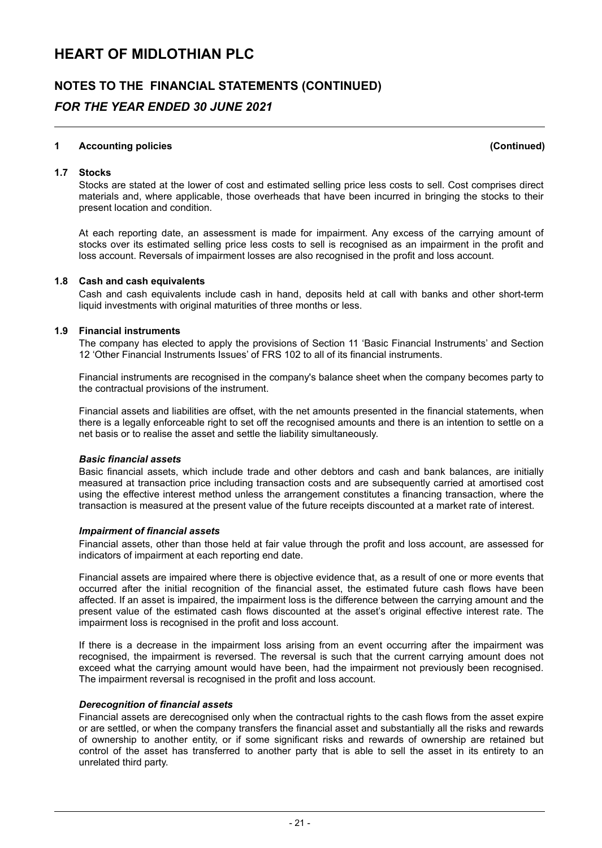# **NOTES TO THE FINANCIAL STATEMENTS (CONTINUED)**

### *FOR THE YEAR ENDED 30 JUNE 2021*

#### **1 Accounting policies (Continued)**

#### **1.7 Stocks**

Stocks are stated at the lower of cost and estimated selling price less costs to sell. Cost comprises direct materials and, where applicable, those overheads that have been incurred in bringing the stocks to their present location and condition.

At each reporting date, an assessment is made for impairment. Any excess of the carrying amount of stocks over its estimated selling price less costs to sell is recognised as an impairment in the profit and loss account. Reversals of impairment losses are also recognised in the profit and loss account.

#### **1.8 Cash and cash equivalents**

Cash and cash equivalents include cash in hand, deposits held at call with banks and other short-term liquid investments with original maturities of three months or less.

#### **1.9 Financial instruments**

The company has elected to apply the provisions of Section 11 'Basic Financial Instruments' and Section 12 'Other Financial Instruments Issues' of FRS 102 to all of its financial instruments.

Financial instruments are recognised in the company's balance sheet when the company becomes party to the contractual provisions of the instrument.

Financial assets and liabilities are offset, with the net amounts presented in the financial statements, when there is a legally enforceable right to set off the recognised amounts and there is an intention to settle on a net basis or to realise the asset and settle the liability simultaneously.

#### *Basic financial assets*

Basic financial assets, which include trade and other debtors and cash and bank balances, are initially measured at transaction price including transaction costs and are subsequently carried at amortised cost using the effective interest method unless the arrangement constitutes a financing transaction, where the transaction is measured at the present value of the future receipts discounted at a market rate of interest.

#### *Impairment of financial assets*

Financial assets, other than those held at fair value through the profit and loss account, are assessed for indicators of impairment at each reporting end date.

Financial assets are impaired where there is objective evidence that, as a result of one or more events that occurred after the initial recognition of the financial asset, the estimated future cash flows have been affected. If an asset is impaired, the impairment loss is the difference between the carrying amount and the present value of the estimated cash flows discounted at the asset's original effective interest rate. The impairment loss is recognised in the profit and loss account.

If there is a decrease in the impairment loss arising from an event occurring after the impairment was recognised, the impairment is reversed. The reversal is such that the current carrying amount does not exceed what the carrying amount would have been, had the impairment not previously been recognised. The impairment reversal is recognised in the profit and loss account.

#### *Derecognition of financial assets*

Financial assets are derecognised only when the contractual rights to the cash flows from the asset expire or are settled, or when the company transfers the financial asset and substantially all the risks and rewards of ownership to another entity, or if some significant risks and rewards of ownership are retained but control of the asset has transferred to another party that is able to sell the asset in its entirety to an unrelated third party.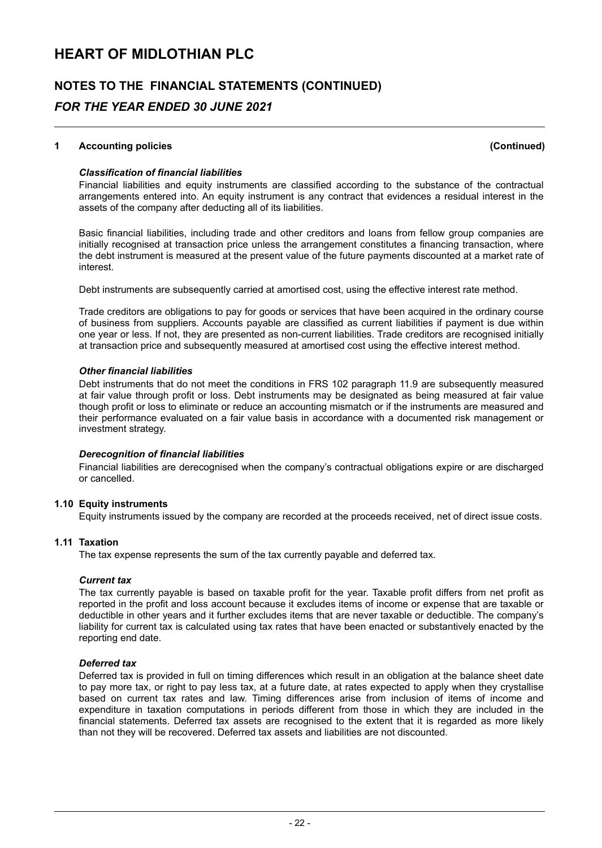### **NOTES TO THE FINANCIAL STATEMENTS (CONTINUED)** *FOR THE YEAR ENDED 30 JUNE 2021*

#### **1 Accounting policies (Continued)**

#### *Classification of financial liabilities*

Financial liabilities and equity instruments are classified according to the substance of the contractual arrangements entered into. An equity instrument is any contract that evidences a residual interest in the assets of the company after deducting all of its liabilities.

Basic financial liabilities, including trade and other creditors and loans from fellow group companies are initially recognised at transaction price unless the arrangement constitutes a financing transaction, where the debt instrument is measured at the present value of the future payments discounted at a market rate of interest.

Debt instruments are subsequently carried at amortised cost, using the effective interest rate method.

Trade creditors are obligations to pay for goods or services that have been acquired in the ordinary course of business from suppliers. Accounts payable are classified as current liabilities if payment is due within one year or less. If not, they are presented as non-current liabilities. Trade creditors are recognised initially at transaction price and subsequently measured at amortised cost using the effective interest method.

#### *Other financial liabilities*

Debt instruments that do not meet the conditions in FRS 102 paragraph 11.9 are subsequently measured at fair value through profit or loss. Debt instruments may be designated as being measured at fair value though profit or loss to eliminate or reduce an accounting mismatch or if the instruments are measured and their performance evaluated on a fair value basis in accordance with a documented risk management or investment strategy.

#### *Derecognition of financial liabilities*

Financial liabilities are derecognised when the company's contractual obligations expire or are discharged or cancelled.

#### **1.10 Equity instruments**

Equity instruments issued by the company are recorded at the proceeds received, net of direct issue costs.

#### **1.11 Taxation**

The tax expense represents the sum of the tax currently payable and deferred tax.

#### *Current tax*

The tax currently payable is based on taxable profit for the year. Taxable profit differs from net profit as reported in the profit and loss account because it excludes items of income or expense that are taxable or deductible in other years and it further excludes items that are never taxable or deductible. The company's liability for current tax is calculated using tax rates that have been enacted or substantively enacted by the reporting end date.

#### *Deferred tax*

Deferred tax is provided in full on timing differences which result in an obligation at the balance sheet date to pay more tax, or right to pay less tax, at a future date, at rates expected to apply when they crystallise based on current tax rates and law. Timing differences arise from inclusion of items of income and expenditure in taxation computations in periods different from those in which they are included in the financial statements. Deferred tax assets are recognised to the extent that it is regarded as more likely than not they will be recovered. Deferred tax assets and liabilities are not discounted.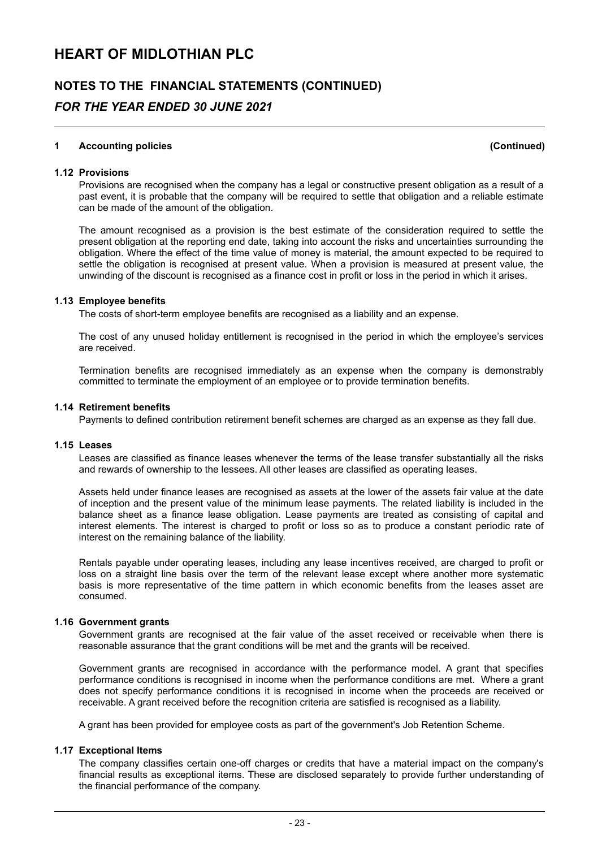### **NOTES TO THE FINANCIAL STATEMENTS (CONTINUED)** *FOR THE YEAR ENDED 30 JUNE 2021*

#### **1 Accounting policies (Continued)**

#### **1.12 Provisions**

Provisions are recognised when the company has a legal or constructive present obligation as a result of a past event, it is probable that the company will be required to settle that obligation and a reliable estimate can be made of the amount of the obligation.

The amount recognised as a provision is the best estimate of the consideration required to settle the present obligation at the reporting end date, taking into account the risks and uncertainties surrounding the obligation. Where the effect of the time value of money is material, the amount expected to be required to settle the obligation is recognised at present value. When a provision is measured at present value, the unwinding of the discount is recognised as a finance cost in profit or loss in the period in which it arises.

#### **1.13 Employee benefits**

The costs of short-term employee benefits are recognised as a liability and an expense.

The cost of any unused holiday entitlement is recognised in the period in which the employee's services are received.

Termination benefits are recognised immediately as an expense when the company is demonstrably committed to terminate the employment of an employee or to provide termination benefits.

#### **1.14 Retirement benefits**

Payments to defined contribution retirement benefit schemes are charged as an expense as they fall due.

#### **1.15 Leases**

Leases are classified as finance leases whenever the terms of the lease transfer substantially all the risks and rewards of ownership to the lessees. All other leases are classified as operating leases.

Assets held under finance leases are recognised as assets at the lower of the assets fair value at the date of inception and the present value of the minimum lease payments. The related liability is included in the balance sheet as a finance lease obligation. Lease payments are treated as consisting of capital and interest elements. The interest is charged to profit or loss so as to produce a constant periodic rate of interest on the remaining balance of the liability.

Rentals payable under operating leases, including any lease incentives received, are charged to profit or loss on a straight line basis over the term of the relevant lease except where another more systematic basis is more representative of the time pattern in which economic benefits from the leases asset are consumed.

#### **1.16 Government grants**

Government grants are recognised at the fair value of the asset received or receivable when there is reasonable assurance that the grant conditions will be met and the grants will be received.

Government grants are recognised in accordance with the performance model. A grant that specifies performance conditions is recognised in income when the performance conditions are met. Where a grant does not specify performance conditions it is recognised in income when the proceeds are received or receivable. A grant received before the recognition criteria are satisfied is recognised as a liability.

A grant has been provided for employee costs as part of the government's Job Retention Scheme.

#### **1.17 Exceptional Items**

The company classifies certain one-off charges or credits that have a material impact on the company's financial results as exceptional items. These are disclosed separately to provide further understanding of the financial performance of the company.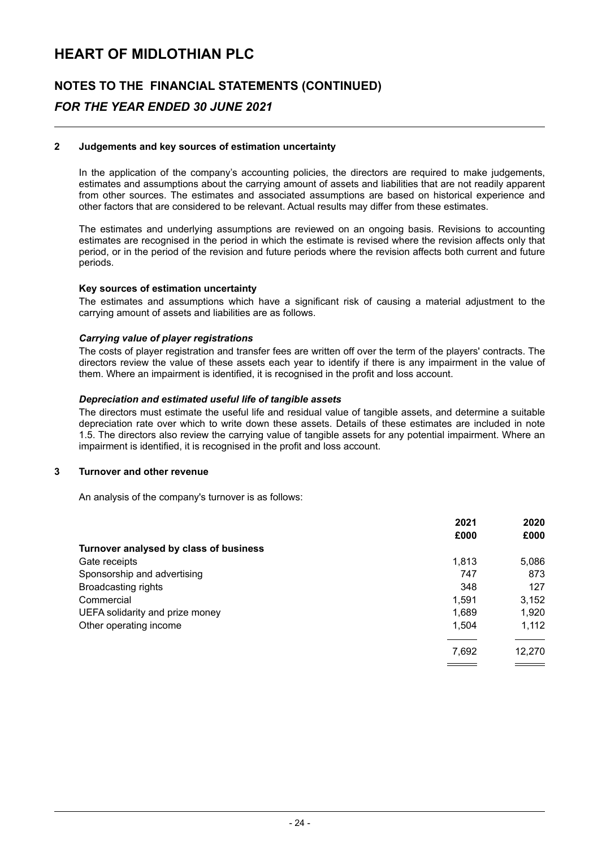# **NOTES TO THE FINANCIAL STATEMENTS (CONTINUED)** *FOR THE YEAR ENDED 30 JUNE 2021*

#### **2 Judgements and key sources of estimation uncertainty**

In the application of the company's accounting policies, the directors are required to make judgements, estimates and assumptions about the carrying amount of assets and liabilities that are not readily apparent from other sources. The estimates and associated assumptions are based on historical experience and other factors that are considered to be relevant. Actual results may differ from these estimates.

The estimates and underlying assumptions are reviewed on an ongoing basis. Revisions to accounting estimates are recognised in the period in which the estimate is revised where the revision affects only that period, or in the period of the revision and future periods where the revision affects both current and future periods.

#### **Key sources of estimation uncertainty**

The estimates and assumptions which have a significant risk of causing a material adjustment to the carrying amount of assets and liabilities are as follows.

#### *Carrying value of player registrations*

The costs of player registration and transfer fees are written off over the term of the players' contracts. The directors review the value of these assets each year to identify if there is any impairment in the value of them. Where an impairment is identified, it is recognised in the profit and loss account.

#### *Depreciation and estimated useful life of tangible assets*

The directors must estimate the useful life and residual value of tangible assets, and determine a suitable depreciation rate over which to write down these assets. Details of these estimates are included in note 1.5. The directors also review the carrying value of tangible assets for any potential impairment. Where an impairment is identified, it is recognised in the profit and loss account.

#### **3 Turnover and other revenue**

An analysis of the company's turnover is as follows:

|                                        | 2021  | 2020   |
|----------------------------------------|-------|--------|
|                                        | £000  | £000   |
| Turnover analysed by class of business |       |        |
| Gate receipts                          | 1,813 | 5,086  |
| Sponsorship and advertising            | 747   | 873    |
| Broadcasting rights                    | 348   | 127    |
| Commercial                             | 1.591 | 3,152  |
| UEFA solidarity and prize money        | 1,689 | 1,920  |
| Other operating income                 | 1,504 | 1,112  |
|                                        | 7.692 | 12,270 |
|                                        |       |        |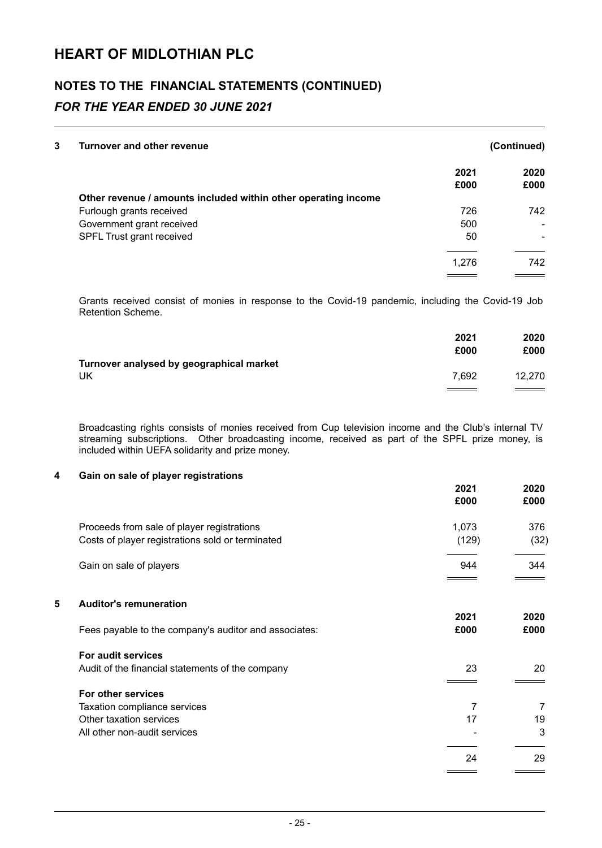# **NOTES TO THE FINANCIAL STATEMENTS (CONTINUED)** *FOR THE YEAR ENDED 30 JUNE 2021*

| 3 | Turnover and other revenue                                     |              | (Continued)              |
|---|----------------------------------------------------------------|--------------|--------------------------|
|   |                                                                | 2021<br>£000 | 2020<br>£000             |
|   | Other revenue / amounts included within other operating income |              |                          |
|   | Furlough grants received                                       | 726          | 742                      |
|   | Government grant received                                      | 500          | $\qquad \qquad -$        |
|   | SPFL Trust grant received                                      | 50           | $\overline{\phantom{0}}$ |
|   |                                                                |              |                          |
|   |                                                                | 1,276        | 742                      |
|   |                                                                |              |                          |

Grants received consist of monies in response to the Covid-19 pandemic, including the Covid-19 Job Retention Scheme.

|                                          | 2021<br>£000 | 2020<br>£000             |
|------------------------------------------|--------------|--------------------------|
| Turnover analysed by geographical market |              |                          |
| UK                                       | 7.692        | 12.270                   |
|                                          |              | $\overline{\phantom{a}}$ |

Broadcasting rights consists of monies received from Cup television income and the Club's internal TV streaming subscriptions. Other broadcasting income, received as part of the SPFL prize money, is included within UEFA solidarity and prize money.

#### **4 Gain on sale of player registrations**

|   |                                                       | 2021<br>£000 | 2020<br>£000 |
|---|-------------------------------------------------------|--------------|--------------|
|   | Proceeds from sale of player registrations            | 1,073        | 376          |
|   | Costs of player registrations sold or terminated      | (129)        | (32)         |
|   | Gain on sale of players                               | 944          | 344          |
| 5 | <b>Auditor's remuneration</b>                         |              |              |
|   |                                                       | 2021         | 2020         |
|   | Fees payable to the company's auditor and associates: | £000         | £000         |
|   | For audit services                                    |              |              |
|   | Audit of the financial statements of the company      | 23           | 20           |
|   | For other services                                    |              |              |
|   | Taxation compliance services                          | 7            | 7            |
|   | Other taxation services                               | 17           | 19           |
|   | All other non-audit services                          |              | 3            |
|   |                                                       | 24           | 29           |
|   |                                                       |              |              |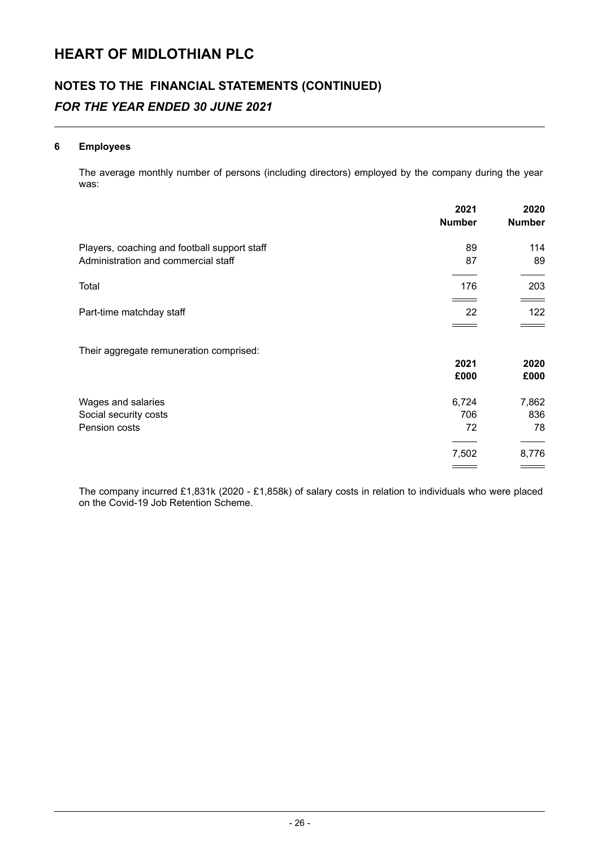# **NOTES TO THE FINANCIAL STATEMENTS (CONTINUED)** *FOR THE YEAR ENDED 30 JUNE 2021*

#### **6 Employees**

The average monthly number of persons (including directors) employed by the company during the year was:

|                                                                                     | 2021<br><b>Number</b> | 2020<br><b>Number</b> |
|-------------------------------------------------------------------------------------|-----------------------|-----------------------|
| Players, coaching and football support staff<br>Administration and commercial staff | 89<br>87              | 114<br>89             |
|                                                                                     |                       |                       |
| Total                                                                               | 176                   | 203                   |
|                                                                                     |                       |                       |
| Part-time matchday staff                                                            | 22                    | 122                   |
|                                                                                     |                       |                       |
| Their aggregate remuneration comprised:                                             |                       |                       |
|                                                                                     | 2021                  | 2020                  |
|                                                                                     | £000                  | £000                  |
| Wages and salaries                                                                  | 6,724                 | 7,862                 |
| Social security costs                                                               | 706                   | 836                   |
| Pension costs                                                                       | 72                    | 78                    |
|                                                                                     | 7,502                 | 8,776                 |
|                                                                                     |                       |                       |

The company incurred £1,831k (2020 - £1,858k) of salary costs in relation to individuals who were placed on the Covid-19 Job Retention Scheme.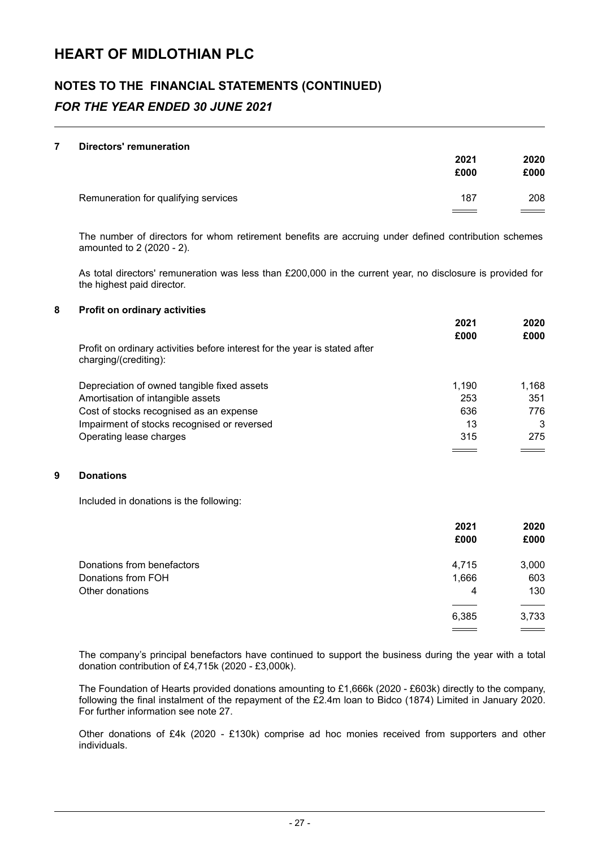# **NOTES TO THE FINANCIAL STATEMENTS (CONTINUED)** *FOR THE YEAR ENDED 30 JUNE 2021*

#### **7 Directors' remuneration**

|                                      | 2021<br>£000 | 2020<br>£000 |
|--------------------------------------|--------------|--------------|
| Remuneration for qualifying services | 187<br>___   | 208<br>_____ |

The number of directors for whom retirement benefits are accruing under defined contribution schemes amounted to 2 (2020 - 2).

As total directors' remuneration was less than £200,000 in the current year, no disclosure is provided for the highest paid director.

#### **8 Profit on ordinary activities**

|                                                                                                     | 2021<br>£000 | 2020<br>£000 |
|-----------------------------------------------------------------------------------------------------|--------------|--------------|
| Profit on ordinary activities before interest for the year is stated after<br>charging/(crediting): |              |              |
| Depreciation of owned tangible fixed assets                                                         | 1.190        | 1.168        |
| Amortisation of intangible assets                                                                   | 253          | 351          |
| Cost of stocks recognised as an expense                                                             | 636          | 776          |
| Impairment of stocks recognised or reversed                                                         | 13           | 3            |
| Operating lease charges                                                                             | 315          | 275          |
|                                                                                                     |              |              |

#### **9 Donations**

Included in donations is the following:

|                            | 2021<br>£000 | 2020<br>£000 |
|----------------------------|--------------|--------------|
| Donations from benefactors | 4,715        | 3,000        |
| Donations from FOH         | 1,666        | 603          |
| Other donations            | 4            | 130          |
|                            |              |              |
|                            | 6,385        | 3,733        |
|                            |              |              |

The company's principal benefactors have continued to support the business during the year with a total donation contribution of £4,715k (2020 - £3,000k).

The Foundation of Hearts provided donations amounting to £1,666k (2020 - £603k) directly to the company, following the final instalment of the repayment of the £2.4m loan to Bidco (1874) Limited in January 2020. For further information see note 27.

Other donations of £4k (2020 - £130k) comprise ad hoc monies received from supporters and other individuals.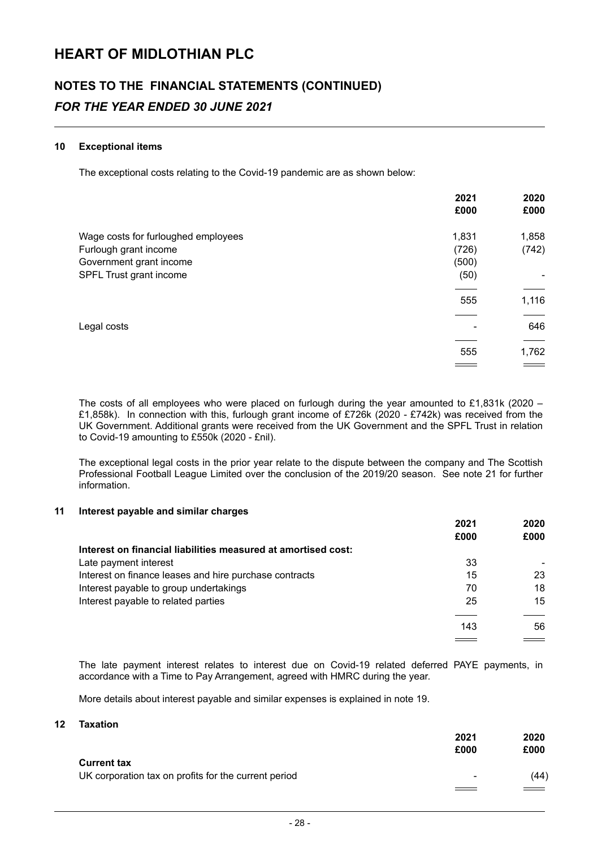# **NOTES TO THE FINANCIAL STATEMENTS (CONTINUED)** *FOR THE YEAR ENDED 30 JUNE 2021*

#### **10 Exceptional items**

The exceptional costs relating to the Covid-19 pandemic are as shown below:

|                                     | 2021<br>£000 | 2020<br>£000             |
|-------------------------------------|--------------|--------------------------|
| Wage costs for furloughed employees | 1,831        | 1,858                    |
| Furlough grant income               | (726)        | (742)                    |
| Government grant income             | (500)        |                          |
| SPFL Trust grant income             | (50)         | $\overline{\phantom{a}}$ |
|                                     |              |                          |
|                                     | 555          | 1,116                    |
|                                     |              |                          |
| Legal costs                         |              | 646                      |
|                                     |              |                          |
|                                     | 555          | 1,762                    |
|                                     |              |                          |

The costs of all employees who were placed on furlough during the year amounted to £1,831k (2020 – £1,858k). In connection with this, furlough grant income of £726k (2020 - £742k) was received from the UK Government. Additional grants were received from the UK Government and the SPFL Trust in relation to Covid-19 amounting to £550k (2020 - £nil).

The exceptional legal costs in the prior year relate to the dispute between the company and The Scottish Professional Football League Limited over the conclusion of the 2019/20 season. See note 21 for further information.

#### **11 Interest payable and similar charges**

|                                                               | 2021 | 2020 |
|---------------------------------------------------------------|------|------|
|                                                               | £000 | £000 |
| Interest on financial liabilities measured at amortised cost: |      |      |
| Late payment interest                                         | 33   |      |
| Interest on finance leases and hire purchase contracts        | 15   | 23   |
| Interest payable to group undertakings                        | 70   | 18   |
| Interest payable to related parties                           | 25   | 15   |
|                                                               |      |      |
|                                                               | 143  | 56   |

The late payment interest relates to interest due on Covid-19 related deferred PAYE payments, in accordance with a Time to Pay Arrangement, agreed with HMRC during the year.

More details about interest payable and similar expenses is explained in note 19.

#### **12 Taxation**

|                                                      | 2021<br>£000  | 2020<br>£000 |
|------------------------------------------------------|---------------|--------------|
| <b>Current tax</b>                                   |               | (44)         |
| UK corporation tax on profits for the current period | ۰<br>$\equiv$ | $\sim$       |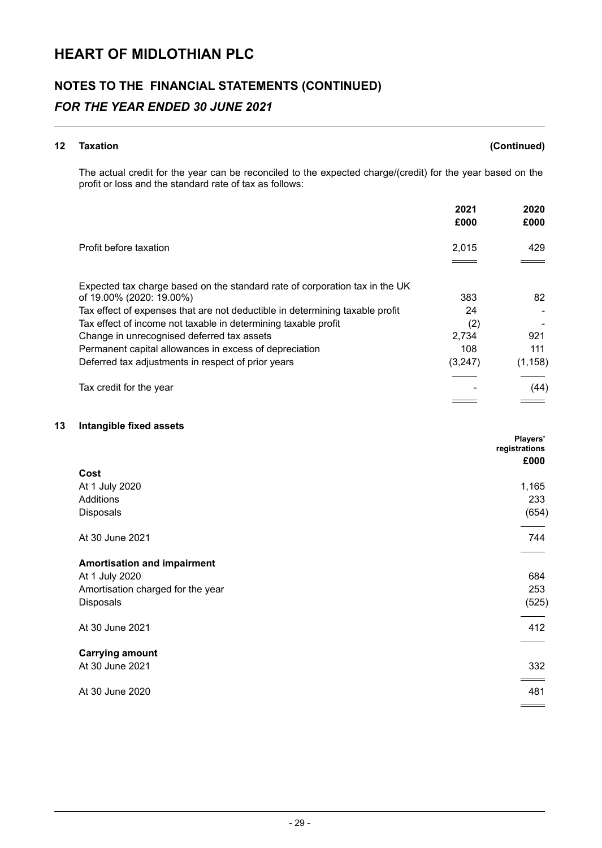# **NOTES TO THE FINANCIAL STATEMENTS (CONTINUED)** *FOR THE YEAR ENDED 30 JUNE 2021*

#### **12 Taxation (Continued)**

The actual credit for the year can be reconciled to the expected charge/(credit) for the year based on the profit or loss and the standard rate of tax as follows:

|                                                                                                          | 2021<br>£000 | 2020<br>£000 |
|----------------------------------------------------------------------------------------------------------|--------------|--------------|
| Profit before taxation                                                                                   | 2.015        | 429          |
| Expected tax charge based on the standard rate of corporation tax in the UK                              |              |              |
| of 19.00% (2020: 19.00%)<br>Tax effect of expenses that are not deductible in determining taxable profit | 383<br>24    | 82           |
| Tax effect of income not taxable in determining taxable profit                                           | (2)          |              |
| Change in unrecognised deferred tax assets<br>Permanent capital allowances in excess of depreciation     | 2,734<br>108 | 921<br>111   |
| Deferred tax adjustments in respect of prior years                                                       | (3,247)      | (1, 158)     |
| Tax credit for the year                                                                                  |              | (44)         |
|                                                                                                          |              |              |

### **13 Intangible fixed assets**

|                                    | Players'<br>registrations |
|------------------------------------|---------------------------|
|                                    | £000                      |
| Cost                               |                           |
| At 1 July 2020                     | 1,165                     |
| Additions                          | 233                       |
| Disposals                          | (654)                     |
| At 30 June 2021                    | 744                       |
|                                    |                           |
| <b>Amortisation and impairment</b> |                           |
| At 1 July 2020                     | 684                       |
| Amortisation charged for the year  | 253                       |
| Disposals                          | (525)                     |
| At 30 June 2021                    | 412                       |
|                                    |                           |
| <b>Carrying amount</b>             |                           |
| At 30 June 2021                    | 332                       |
| At 30 June 2020                    | 481                       |
|                                    |                           |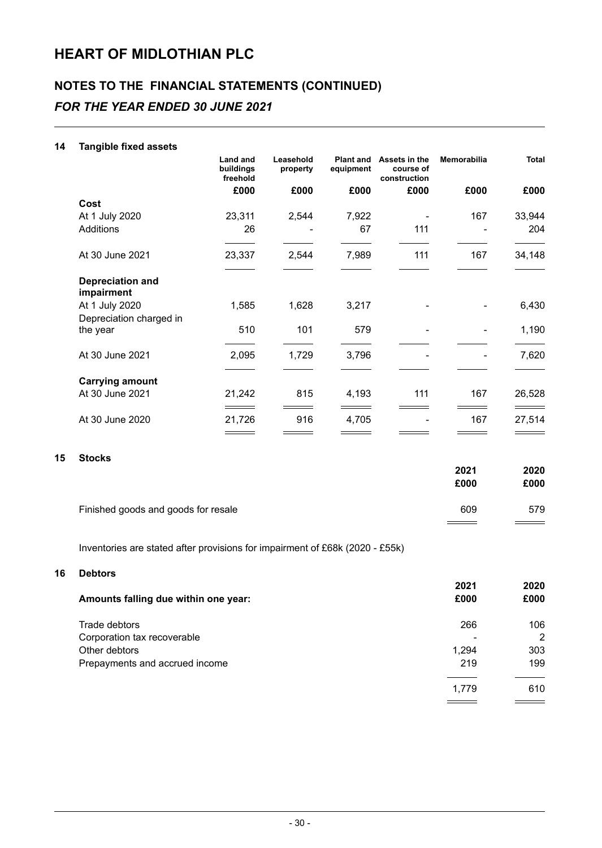# **NOTES TO THE FINANCIAL STATEMENTS (CONTINUED)** *FOR THE YEAR ENDED 30 JUNE 2021*

| 14 | <b>Tangible fixed assets</b>                                                 |                                          |                       |           |                                                      |                          |              |
|----|------------------------------------------------------------------------------|------------------------------------------|-----------------------|-----------|------------------------------------------------------|--------------------------|--------------|
|    |                                                                              | <b>Land and</b><br>buildings<br>freehold | Leasehold<br>property | equipment | Plant and Assets in the<br>course of<br>construction | Memorabilia              | <b>Total</b> |
|    |                                                                              | £000                                     | £000                  | £000      | £000                                                 | £000                     | £000         |
|    | Cost                                                                         |                                          |                       |           |                                                      |                          |              |
|    | At 1 July 2020                                                               | 23,311                                   | 2,544                 | 7,922     | $\overline{\phantom{a}}$                             | 167                      | 33,944       |
|    | Additions                                                                    | 26                                       | $\blacksquare$        | 67        | 111                                                  | $\overline{\phantom{0}}$ | 204          |
|    | At 30 June 2021                                                              | 23,337                                   | 2,544                 | 7,989     | 111                                                  | 167                      | 34,148       |
|    | <b>Depreciation and</b><br>impairment                                        |                                          |                       |           |                                                      |                          |              |
|    | At 1 July 2020                                                               | 1,585                                    | 1,628                 | 3,217     |                                                      |                          | 6,430        |
|    | Depreciation charged in                                                      |                                          |                       |           |                                                      |                          |              |
|    | the year                                                                     | 510                                      | 101                   | 579       |                                                      |                          | 1,190        |
|    | At 30 June 2021                                                              | 2,095                                    | 1,729                 | 3,796     |                                                      |                          | 7,620        |
|    | <b>Carrying amount</b>                                                       |                                          |                       |           |                                                      |                          |              |
|    | At 30 June 2021                                                              | 21,242                                   | 815                   | 4,193     | 111                                                  | 167                      | 26,528       |
|    | At 30 June 2020                                                              | 21,726<br>===                            | 916                   | 4,705     | $\overline{a}$                                       | 167                      | 27,514       |
| 15 | <b>Stocks</b>                                                                |                                          |                       |           |                                                      |                          |              |
|    |                                                                              |                                          |                       |           |                                                      | 2021                     | 2020         |
|    |                                                                              |                                          |                       |           |                                                      | £000                     | £000         |
|    | Finished goods and goods for resale                                          |                                          |                       |           |                                                      | 609                      | 579          |
|    | Inventories are stated after provisions for impairment of £68k (2020 - £55k) |                                          |                       |           |                                                      |                          |              |
|    |                                                                              |                                          |                       |           |                                                      |                          |              |
| 16 | <b>Debtors</b>                                                               |                                          |                       |           |                                                      | 2021                     | 2020         |
|    | Amounts falling due within one year:                                         |                                          |                       |           |                                                      | £000                     | £000         |
|    |                                                                              |                                          |                       |           |                                                      |                          |              |

| 266   | 106 |
|-------|-----|
|       | 2   |
| 1.294 | 303 |
| 219   | 199 |
| 1.779 | 610 |
|       |     |

 $=$ 

 $\equiv$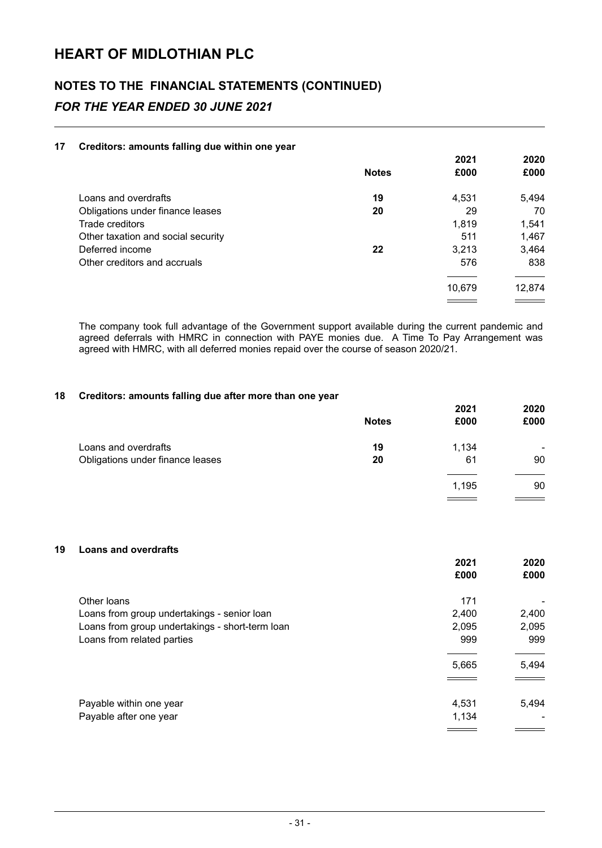# **NOTES TO THE FINANCIAL STATEMENTS (CONTINUED)** *FOR THE YEAR ENDED 30 JUNE 2021*

#### **17 Creditors: amounts falling due within one year**

|                                    |              | 2021   | 2020   |
|------------------------------------|--------------|--------|--------|
|                                    | <b>Notes</b> | £000   | £000   |
| Loans and overdrafts               | 19           | 4,531  | 5,494  |
| Obligations under finance leases   | 20           | 29     | 70     |
| Trade creditors                    |              | 1,819  | 1,541  |
| Other taxation and social security |              | 511    | 1,467  |
| Deferred income                    | 22           | 3,213  | 3,464  |
| Other creditors and accruals       |              | 576    | 838    |
|                                    |              | 10,679 | 12,874 |
|                                    |              |        |        |

The company took full advantage of the Government support available during the current pandemic and agreed deferrals with HMRC in connection with PAYE monies due. A Time To Pay Arrangement was agreed with HMRC, with all deferred monies repaid over the course of season 2020/21.

#### **18 Creditors: amounts falling due after more than one year**

|                                  | <b>Notes</b> | 2021<br>£000 | 2020<br>£000 |
|----------------------------------|--------------|--------------|--------------|
| Loans and overdrafts             | 19           | 1,134        | -            |
| Obligations under finance leases | 20           | 61           | 90           |
|                                  |              |              |              |
|                                  |              | 1,195        | 90           |
|                                  |              |              |              |

#### **19 Loans and overdrafts**

|                                                 | 2021  | 2020  |
|-------------------------------------------------|-------|-------|
|                                                 | £000  | £000  |
| Other loans                                     | 171   |       |
| Loans from group undertakings - senior loan     | 2,400 | 2,400 |
| Loans from group undertakings - short-term loan | 2,095 | 2,095 |
| Loans from related parties                      | 999   | 999   |
|                                                 | 5,665 | 5,494 |
|                                                 |       |       |
| Payable within one year                         | 4,531 | 5,494 |
| Payable after one year                          | 1,134 |       |
|                                                 |       |       |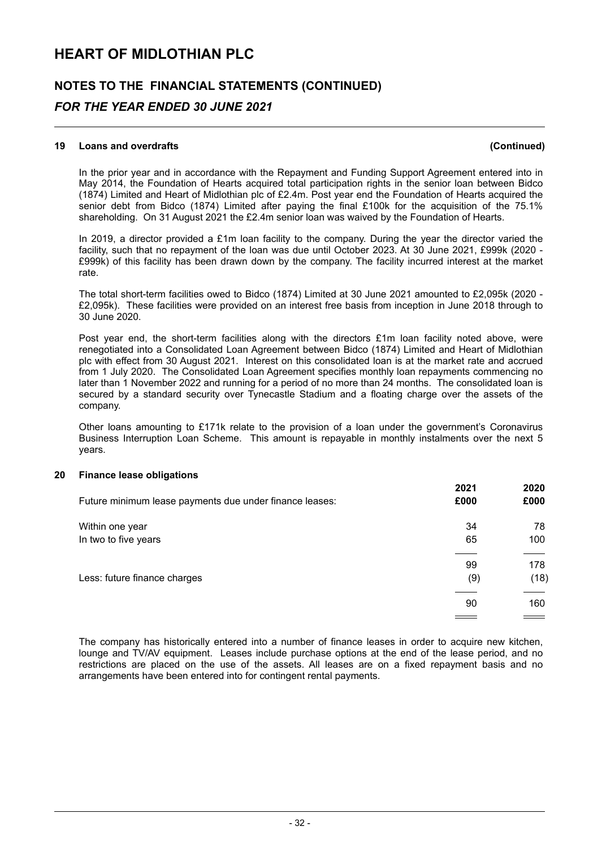## **NOTES TO THE FINANCIAL STATEMENTS (CONTINUED)** *FOR THE YEAR ENDED 30 JUNE 2021*

#### **19 Loans and overdrafts (Continued)**

In the prior year and in accordance with the Repayment and Funding Support Agreement entered into in May 2014, the Foundation of Hearts acquired total participation rights in the senior loan between Bidco (1874) Limited and Heart of Midlothian plc of £2.4m. Post year end the Foundation of Hearts acquired the senior debt from Bidco (1874) Limited after paying the final £100k for the acquisition of the 75.1% shareholding. On 31 August 2021 the £2.4m senior loan was waived by the Foundation of Hearts.

In 2019, a director provided a £1m loan facility to the company. During the year the director varied the facility, such that no repayment of the loan was due until October 2023. At 30 June 2021, £999k (2020 - £999k) of this facility has been drawn down by the company. The facility incurred interest at the market rate.

The total short-term facilities owed to Bidco (1874) Limited at 30 June 2021 amounted to £2,095k (2020 - £2,095k). These facilities were provided on an interest free basis from inception in June 2018 through to 30 June 2020.

Post year end, the short-term facilities along with the directors £1m loan facility noted above, were renegotiated into a Consolidated Loan Agreement between Bidco (1874) Limited and Heart of Midlothian plc with effect from 30 August 2021. Interest on this consolidated loan is at the market rate and accrued from 1 July 2020. The Consolidated Loan Agreement specifies monthly loan repayments commencing no later than 1 November 2022 and running for a period of no more than 24 months. The consolidated loan is secured by a standard security over Tynecastle Stadium and a floating charge over the assets of the company.

Other loans amounting to £171k relate to the provision of a loan under the government's Coronavirus Business Interruption Loan Scheme. This amount is repayable in monthly instalments over the next 5 years.

#### **20 Finance lease obligations**

| Future minimum lease payments due under finance leases: | 2021<br>£000 | 2020<br>£000 |
|---------------------------------------------------------|--------------|--------------|
| Within one year                                         | 34           | 78           |
| In two to five years                                    | 65           | 100          |
|                                                         | 99           | 178          |
| Less: future finance charges                            | (9)          | (18)         |
|                                                         | 90           | 160          |
|                                                         |              |              |

The company has historically entered into a number of finance leases in order to acquire new kitchen, lounge and TV/AV equipment. Leases include purchase options at the end of the lease period, and no restrictions are placed on the use of the assets. All leases are on a fixed repayment basis and no arrangements have been entered into for contingent rental payments.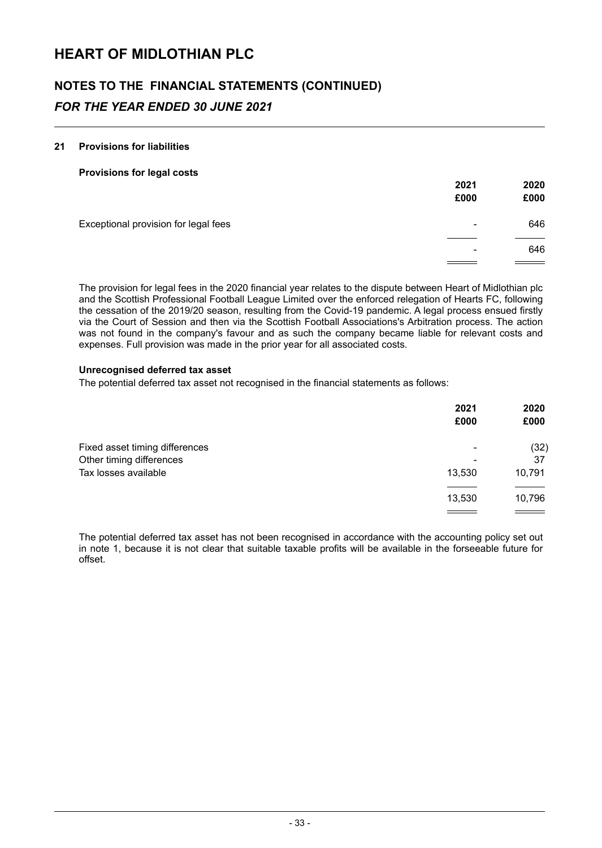# **NOTES TO THE FINANCIAL STATEMENTS (CONTINUED)** *FOR THE YEAR ENDED 30 JUNE 2021*

#### **21 Provisions for liabilities**

#### **Provisions for legal costs**

|                                      | 2021<br>£000             | 2020<br>£000 |
|--------------------------------------|--------------------------|--------------|
| Exceptional provision for legal fees | -                        | 646          |
|                                      |                          |              |
|                                      | $\overline{\phantom{0}}$ | 646          |
|                                      |                          |              |

The provision for legal fees in the 2020 financial year relates to the dispute between Heart of Midlothian plc and the Scottish Professional Football League Limited over the enforced relegation of Hearts FC, following the cessation of the 2019/20 season, resulting from the Covid-19 pandemic. A legal process ensued firstly via the Court of Session and then via the Scottish Football Associations's Arbitration process. The action was not found in the company's favour and as such the company became liable for relevant costs and expenses. Full provision was made in the prior year for all associated costs.

#### **Unrecognised deferred tax asset**

The potential deferred tax asset not recognised in the financial statements as follows:

|                                | 2021<br>£000 | 2020<br>£000 |
|--------------------------------|--------------|--------------|
| Fixed asset timing differences |              | (32)         |
| Other timing differences       |              | 37           |
| Tax losses available           | 13,530       | 10,791       |
|                                | 13,530       | 10,796       |
|                                |              |              |

The potential deferred tax asset has not been recognised in accordance with the accounting policy set out in note 1, because it is not clear that suitable taxable profits will be available in the forseeable future for offset.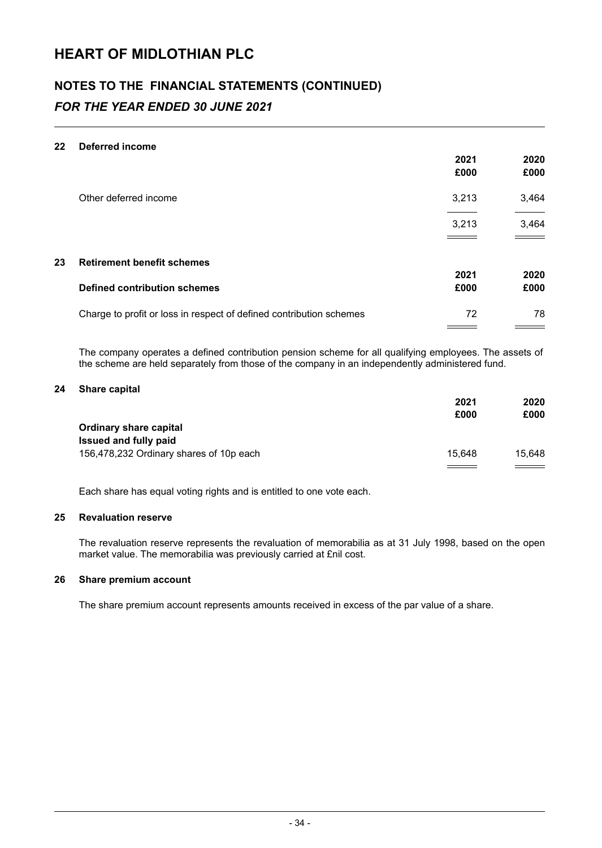# **NOTES TO THE FINANCIAL STATEMENTS (CONTINUED)**

### *FOR THE YEAR ENDED 30 JUNE 2021*

#### **22 Deferred income**

|    |                                                                     | 2021<br>£000 | 2020<br>£000 |
|----|---------------------------------------------------------------------|--------------|--------------|
|    | Other deferred income                                               | 3,213        | 3,464        |
|    |                                                                     | 3,213        | 3,464        |
| 23 | <b>Retirement benefit schemes</b>                                   |              |              |
|    | <b>Defined contribution schemes</b>                                 | 2021<br>£000 | 2020<br>£000 |
|    | Charge to profit or loss in respect of defined contribution schemes | 72           | 78           |

The company operates a defined contribution pension scheme for all qualifying employees. The assets of the scheme are held separately from those of the company in an independently administered fund.

#### **24 Share capital**

|                                         | 2021<br>£000 | 2020<br>£000 |
|-----------------------------------------|--------------|--------------|
| <b>Ordinary share capital</b>           |              |              |
| <b>Issued and fully paid</b>            |              |              |
| 156,478,232 Ordinary shares of 10p each | 15.648       | 15.648       |
|                                         |              |              |

Each share has equal voting rights and is entitled to one vote each.

### **25 Revaluation reserve**

The revaluation reserve represents the revaluation of memorabilia as at 31 July 1998, based on the open market value. The memorabilia was previously carried at £nil cost.

#### **26 Share premium account**

The share premium account represents amounts received in excess of the par value of a share.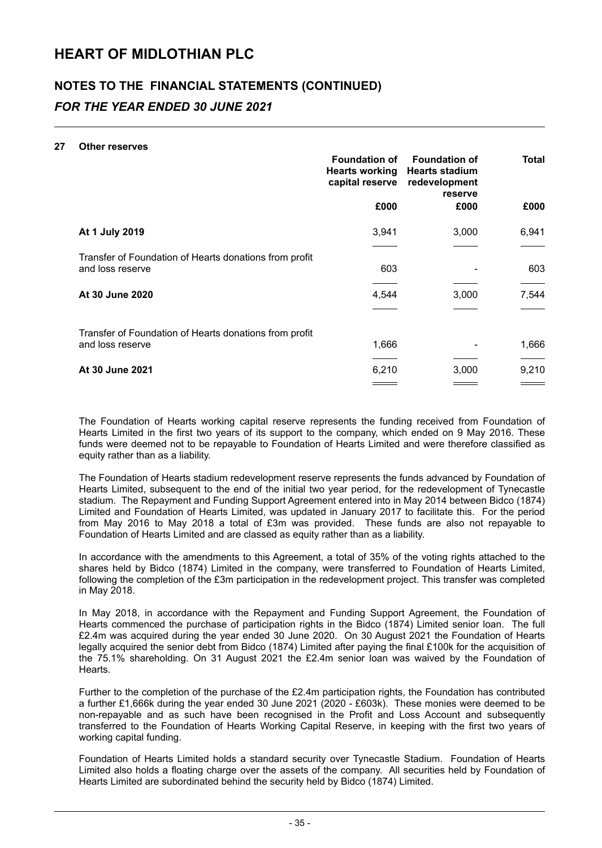# **NOTES TO THE FINANCIAL STATEMENTS (CONTINUED)**

*FOR THE YEAR ENDED 30 JUNE 2021*

#### **27 Other reserves**

|                                                        | <b>Foundation of</b><br><b>Hearts working</b><br>capital reserve | <b>Foundation of</b><br><b>Hearts stadium</b><br>redevelopment<br>reserve | <b>Total</b> |
|--------------------------------------------------------|------------------------------------------------------------------|---------------------------------------------------------------------------|--------------|
|                                                        | £000                                                             | £000                                                                      | £000         |
| At 1 July 2019                                         | 3,941                                                            | 3,000                                                                     | 6,941        |
| Transfer of Foundation of Hearts donations from profit |                                                                  |                                                                           |              |
| and loss reserve                                       | 603                                                              |                                                                           | 603          |
| At 30 June 2020                                        | 4,544                                                            | 3,000                                                                     | 7,544        |
|                                                        |                                                                  |                                                                           |              |
| Transfer of Foundation of Hearts donations from profit |                                                                  |                                                                           |              |
| and loss reserve                                       | 1,666                                                            |                                                                           | 1,666        |
| At 30 June 2021                                        | 6,210                                                            | 3,000                                                                     | 9,210        |
|                                                        |                                                                  |                                                                           |              |

The Foundation of Hearts working capital reserve represents the funding received from Foundation of Hearts Limited in the first two years of its support to the company, which ended on 9 May 2016. These funds were deemed not to be repayable to Foundation of Hearts Limited and were therefore classified as equity rather than as a liability.

The Foundation of Hearts stadium redevelopment reserve represents the funds advanced by Foundation of Hearts Limited, subsequent to the end of the initial two year period, for the redevelopment of Tynecastle stadium. The Repayment and Funding Support Agreement entered into in May 2014 between Bidco (1874) Limited and Foundation of Hearts Limited, was updated in January 2017 to facilitate this. For the period from May 2016 to May 2018 a total of £3m was provided. These funds are also not repayable to Foundation of Hearts Limited and are classed as equity rather than as a liability.

In accordance with the amendments to this Agreement, a total of 35% of the voting rights attached to the shares held by Bidco (1874) Limited in the company, were transferred to Foundation of Hearts Limited, following the completion of the £3m participation in the redevelopment project. This transfer was completed in May 2018.

In May 2018, in accordance with the Repayment and Funding Support Agreement, the Foundation of Hearts commenced the purchase of participation rights in the Bidco (1874) Limited senior loan. The full £2.4m was acquired during the year ended 30 June 2020. On 30 August 2021 the Foundation of Hearts legally acquired the senior debt from Bidco (1874) Limited after paying the final £100k for the acquisition of the 75.1% shareholding. On 31 August 2021 the £2.4m senior loan was waived by the Foundation of Hearts.

Further to the completion of the purchase of the £2.4m participation rights, the Foundation has contributed a further £1,666k during the year ended 30 June 2021 (2020 - £603k). These monies were deemed to be non-repayable and as such have been recognised in the Profit and Loss Account and subsequently transferred to the Foundation of Hearts Working Capital Reserve, in keeping with the first two years of working capital funding.

Foundation of Hearts Limited holds a standard security over Tynecastle Stadium. Foundation of Hearts Limited also holds a floating charge over the assets of the company. All securities held by Foundation of Hearts Limited are subordinated behind the security held by Bidco (1874) Limited.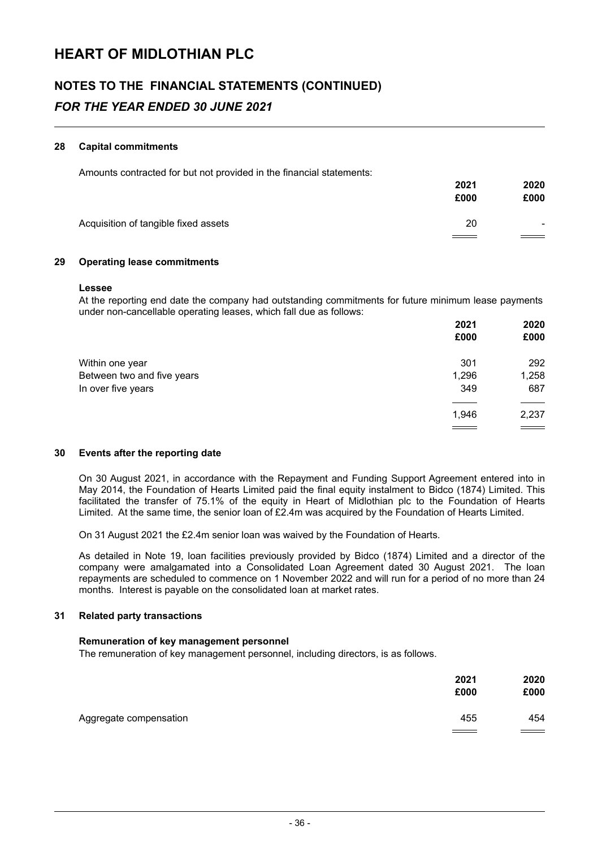# **NOTES TO THE FINANCIAL STATEMENTS (CONTINUED)** *FOR THE YEAR ENDED 30 JUNE 2021*

#### **28 Capital commitments**

Amounts contracted for but not provided in the financial statements:

|                                      | 2021<br>£000 | 2020<br>£000                              |
|--------------------------------------|--------------|-------------------------------------------|
| Acquisition of tangible fixed assets | 20           | $\overline{\phantom{0}}$<br>$\sim$ $\sim$ |

#### **29 Operating lease commitments**

#### **Lessee**

At the reporting end date the company had outstanding commitments for future minimum lease payments under non-cancellable operating leases, which fall due as follows:

|                            | 2021  | 2020   |
|----------------------------|-------|--------|
|                            | £000  | £000   |
| Within one year            | 301   | 292    |
| Between two and five years | 1,296 | 1,258  |
| In over five years         | 349   | 687    |
|                            |       |        |
|                            | 1,946 | 2,237  |
|                            |       | $\sim$ |

#### **30 Events after the reporting date**

On 30 August 2021, in accordance with the Repayment and Funding Support Agreement entered into in May 2014, the Foundation of Hearts Limited paid the final equity instalment to Bidco (1874) Limited. This facilitated the transfer of 75.1% of the equity in Heart of Midlothian plc to the Foundation of Hearts Limited. At the same time, the senior loan of £2.4m was acquired by the Foundation of Hearts Limited.

On 31 August 2021 the £2.4m senior loan was waived by the Foundation of Hearts.

As detailed in Note 19, loan facilities previously provided by Bidco (1874) Limited and a director of the company were amalgamated into a Consolidated Loan Agreement dated 30 August 2021. The loan repayments are scheduled to commence on 1 November 2022 and will run for a period of no more than 24 months. Interest is payable on the consolidated loan at market rates.

#### **31 Related party transactions**

#### **Remuneration of key management personnel**

The remuneration of key management personnel, including directors, is as follows.

|                        | 2021<br>£000 | 2020<br>£000 |
|------------------------|--------------|--------------|
| Aggregate compensation | 455<br>___   | 454<br>___   |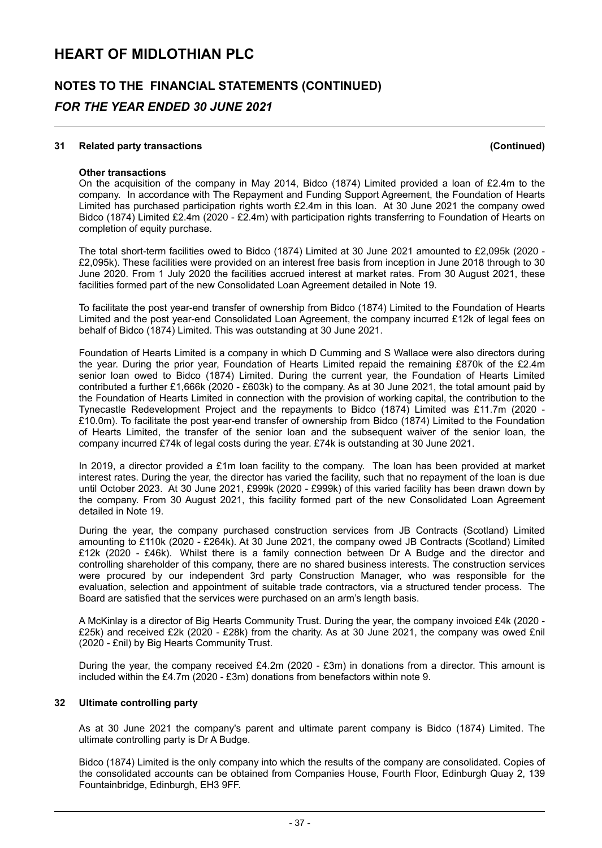# **NOTES TO THE FINANCIAL STATEMENTS (CONTINUED)** *FOR THE YEAR ENDED 30 JUNE 2021*

#### **31 Related party transactions (Continued)**

#### **Other transactions**

On the acquisition of the company in May 2014, Bidco (1874) Limited provided a loan of £2.4m to the company. In accordance with The Repayment and Funding Support Agreement, the Foundation of Hearts Limited has purchased participation rights worth £2.4m in this loan. At 30 June 2021 the company owed Bidco (1874) Limited £2.4m (2020 - £2.4m) with participation rights transferring to Foundation of Hearts on completion of equity purchase.

The total short-term facilities owed to Bidco (1874) Limited at 30 June 2021 amounted to £2,095k (2020 - £2,095k). These facilities were provided on an interest free basis from inception in June 2018 through to 30 June 2020. From 1 July 2020 the facilities accrued interest at market rates. From 30 August 2021, these facilities formed part of the new Consolidated Loan Agreement detailed in Note 19.

To facilitate the post year-end transfer of ownership from Bidco (1874) Limited to the Foundation of Hearts Limited and the post year-end Consolidated Loan Agreement, the company incurred £12k of legal fees on behalf of Bidco (1874) Limited. This was outstanding at 30 June 2021.

Foundation of Hearts Limited is a company in which D Cumming and S Wallace were also directors during the year. During the prior year, Foundation of Hearts Limited repaid the remaining £870k of the £2.4m senior loan owed to Bidco (1874) Limited. During the current year, the Foundation of Hearts Limited contributed a further £1,666k (2020 - £603k) to the company. As at 30 June 2021, the total amount paid by the Foundation of Hearts Limited in connection with the provision of working capital, the contribution to the Tynecastle Redevelopment Project and the repayments to Bidco (1874) Limited was £11.7m (2020 - £10.0m). To facilitate the post year-end transfer of ownership from Bidco (1874) Limited to the Foundation of Hearts Limited, the transfer of the senior loan and the subsequent waiver of the senior loan, the company incurred £74k of legal costs during the year. £74k is outstanding at 30 June 2021.

In 2019, a director provided a £1m loan facility to the company. The loan has been provided at market interest rates. During the year, the director has varied the facility, such that no repayment of the loan is due until October 2023. At 30 June 2021, £999k (2020 - £999k) of this varied facility has been drawn down by the company. From 30 August 2021, this facility formed part of the new Consolidated Loan Agreement detailed in Note 19.

During the year, the company purchased construction services from JB Contracts (Scotland) Limited amounting to £110k (2020 - £264k). At 30 June 2021, the company owed JB Contracts (Scotland) Limited £12k (2020 - £46k). Whilst there is a family connection between Dr A Budge and the director and controlling shareholder of this company, there are no shared business interests. The construction services were procured by our independent 3rd party Construction Manager, who was responsible for the evaluation, selection and appointment of suitable trade contractors, via a structured tender process. The Board are satisfied that the services were purchased on an arm's length basis.

A McKinlay is a director of Big Hearts Community Trust. During the year, the company invoiced £4k (2020 - £25k) and received £2k (2020 - £28k) from the charity. As at 30 June 2021, the company was owed £nil (2020 - £nil) by Big Hearts Community Trust.

During the year, the company received £4.2m (2020 - £3m) in donations from a director. This amount is included within the £4.7m (2020 - £3m) donations from benefactors within note 9.

#### **32 Ultimate controlling party**

As at 30 June 2021 the company's parent and ultimate parent company is Bidco (1874) Limited. The ultimate controlling party is Dr A Budge.

Bidco (1874) Limited is the only company into which the results of the company are consolidated. Copies of the consolidated accounts can be obtained from Companies House, Fourth Floor, Edinburgh Quay 2, 139 Fountainbridge, Edinburgh, EH3 9FF.